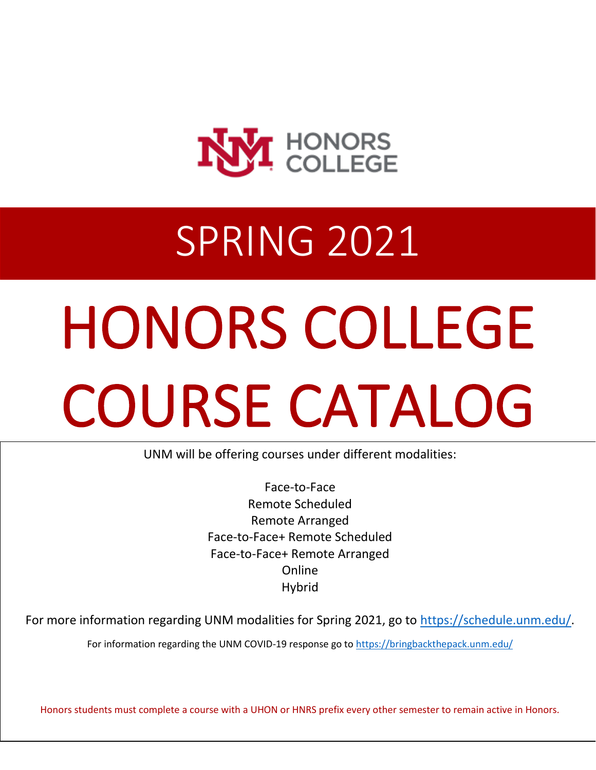

# SPRING 2021

# HONORS COLLEGE COURSE CATALOG

UNM will be offering courses under different modalities:

Face-to-Face Remote Scheduled Remote Arranged Face-to-Face+ Remote Scheduled Face-to-Face+ Remote Arranged Online Hybrid

For more information regarding UNM modalities for Spring 2021, go to [https://schedule.unm.edu/.](https://schedule.unm.edu/)

For information regarding the UNM COVID-19 response go t[o https://bringbackthepack.unm.edu/](https://bringbackthepack.unm.edu/)

Honors students must complete a course with a UHON or HNRS prefix every other semester to remain active in Honors.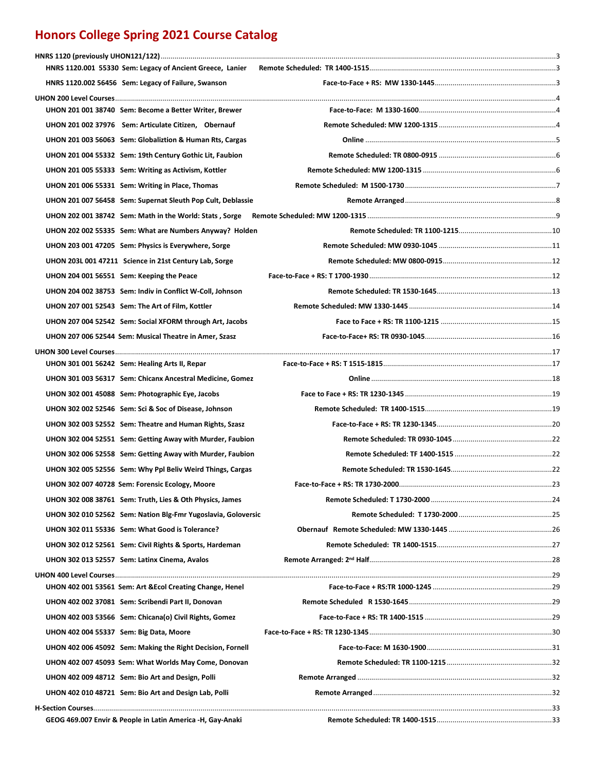# **Honors College Spring 2021 Course Catalog**

| HNRS 1120.002 56456 Sem: Legacy of Failure, Swanson           |  |  |  |
|---------------------------------------------------------------|--|--|--|
|                                                               |  |  |  |
| UHON 201 001 38740 Sem: Become a Better Writer, Brewer        |  |  |  |
| UHON 201 002 37976 Sem: Articulate Citizen, Obernauf          |  |  |  |
| UHON 201 003 56063 Sem: Globaliztion & Human Rts, Cargas      |  |  |  |
| UHON 201 004 55332 Sem: 19th Century Gothic Lit, Faubion      |  |  |  |
| UHON 201 005 55333 Sem: Writing as Activism, Kottler          |  |  |  |
| UHON 201 006 55331 Sem: Writing in Place, Thomas              |  |  |  |
| UHON 201 007 56458 Sem: Supernat Sleuth Pop Cult, Deblassie   |  |  |  |
|                                                               |  |  |  |
| UHON 202 002 55335 Sem: What are Numbers Anyway? Holden       |  |  |  |
| UHON 203 001 47205 Sem: Physics is Everywhere, Sorge          |  |  |  |
| UHON 203L 001 47211 Science in 21st Century Lab, Sorge        |  |  |  |
| UHON 204 001 56551 Sem: Keeping the Peace                     |  |  |  |
| UHON 204 002 38753 Sem: Indiv in Conflict W-Coll, Johnson     |  |  |  |
| UHON 207 001 52543 Sem: The Art of Film, Kottler              |  |  |  |
| UHON 207 004 52542 Sem: Social XFORM through Art, Jacobs      |  |  |  |
| UHON 207 006 52544 Sem: Musical Theatre in Amer, Szasz        |  |  |  |
|                                                               |  |  |  |
| UHON 301 001 56242 Sem: Healing Arts II, Repar                |  |  |  |
| UHON 301 003 56317 Sem: Chicanx Ancestral Medicine, Gomez     |  |  |  |
| UHON 302 001 45088 Sem: Photographic Eye, Jacobs              |  |  |  |
| UHON 302 002 52546 Sem: Sci & Soc of Disease, Johnson         |  |  |  |
| UHON 302 003 52552 Sem: Theatre and Human Rights, Szasz       |  |  |  |
| UHON 302 004 52551 Sem: Getting Away with Murder, Faubion     |  |  |  |
| UHON 302 006 52558 Sem: Getting Away with Murder, Faubion     |  |  |  |
| UHON 302 005 52556 Sem: Why Ppl Beliv Weird Things, Cargas    |  |  |  |
| UHON 302 007 40728 Sem: Forensic Ecology, Moore               |  |  |  |
| UHON 302 008 38761 Sem: Truth, Lies & Oth Physics, James      |  |  |  |
| UHON 302 010 52562 Sem: Nation Blg-Fmr Yugoslavia, Goloversic |  |  |  |
| UHON 302 011 55336 Sem: What Good is Tolerance?               |  |  |  |
| UHON 302 012 52561 Sem: Civil Rights & Sports, Hardeman       |  |  |  |
| UHON 302 013 52557 Sem: Latinx Cinema, Avalos                 |  |  |  |
|                                                               |  |  |  |
| UHON 402 001 53561 Sem: Art & Ecol Creating Change, Henel     |  |  |  |
| UHON 402 002 37081 Sem: Scribendi Part II, Donovan            |  |  |  |
| UHON 402 003 53566 Sem: Chicana(o) Civil Rights, Gomez        |  |  |  |
| UHON 402 004 55337 Sem: Big Data, Moore                       |  |  |  |
| UHON 402 006 45092 Sem: Making the Right Decision, Fornell    |  |  |  |
| UHON 402 007 45093 Sem: What Worlds May Come, Donovan         |  |  |  |
| UHON 402 009 48712 Sem: Bio Art and Design, Polli             |  |  |  |
| UHON 402 010 48721 Sem: Bio Art and Design Lab, Polli         |  |  |  |
|                                                               |  |  |  |
| GEOG 469.007 Envir & People in Latin America -H, Gay-Anaki    |  |  |  |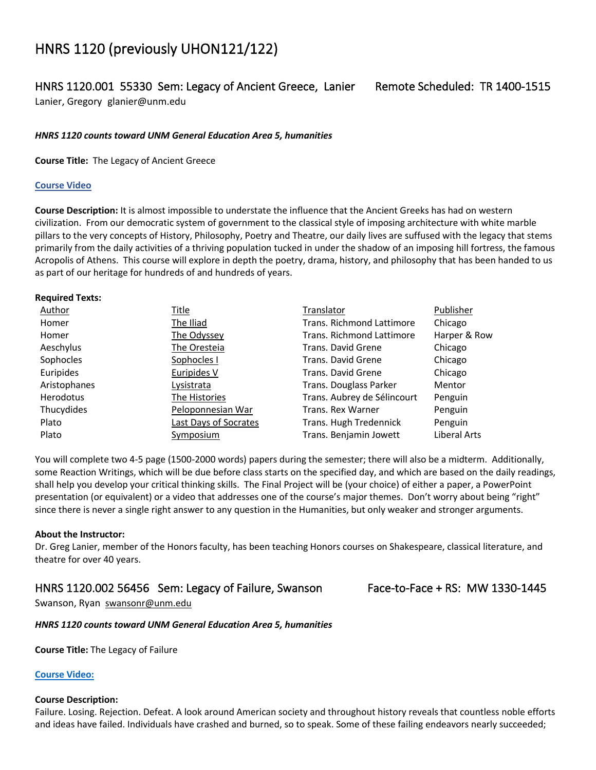# <span id="page-2-0"></span>HNRS 1120 (previously UHON121/122)

# <span id="page-2-1"></span>HNRS 1120.001 55330 Sem: Legacy of Ancient Greece, Lanier Remote Scheduled: TR 1400-1515

Lanier, Gregory glanier@unm.edu

#### *HNRS 1120 counts toward UNM General Education Area 5, humanities*

**Course Title:** The Legacy of Ancient Greece

#### **[Course Video](https://youtu.be/v3UymYhhgvk)**

**Course Description:** It is almost impossible to understate the influence that the Ancient Greeks has had on western civilization. From our democratic system of government to the classical style of imposing architecture with white marble pillars to the very concepts of History, Philosophy, Poetry and Theatre, our daily lives are suffused with the legacy that stems primarily from the daily activities of a thriving population tucked in under the shadow of an imposing hill fortress, the famous Acropolis of Athens. This course will explore in depth the poetry, drama, history, and philosophy that has been handed to us as part of our heritage for hundreds of and hundreds of years.

#### **Required Texts:**

| Author           | Title                 | Translator                       | Publisher    |
|------------------|-----------------------|----------------------------------|--------------|
| Homer            | The Iliad             | Trans. Richmond Lattimore        | Chicago      |
| Homer            | The Odyssey           | <b>Trans. Richmond Lattimore</b> | Harper & Row |
| Aeschylus        | The Oresteia          | Trans. David Grene               | Chicago      |
| Sophocles        | Sophocles I           | Trans. David Grene               | Chicago      |
| Euripides        | Euripides V           | Trans. David Grene               | Chicago      |
| Aristophanes     | Lysistrata            | Trans. Douglass Parker           | Mentor       |
| <b>Herodotus</b> | The Histories         | Trans. Aubrey de Sélincourt      | Penguin      |
| Thucydides       | Peloponnesian War     | Trans. Rex Warner                | Penguin      |
| Plato            | Last Days of Socrates | Trans. Hugh Tredennick           | Penguin      |
| Plato            | Symposium             | Trans. Benjamin Jowett           | Liberal Arts |

You will complete two 4-5 page (1500-2000 words) papers during the semester; there will also be a midterm. Additionally, some Reaction Writings, which will be due before class starts on the specified day, and which are based on the daily readings, shall help you develop your critical thinking skills. The Final Project will be (your choice) of either a paper, a PowerPoint presentation (or equivalent) or a video that addresses one of the course's major themes. Don't worry about being "right" since there is never a single right answer to any question in the Humanities, but only weaker and stronger arguments.

#### **About the Instructor:**

Dr. Greg Lanier, member of the Honors faculty, has been teaching Honors courses on Shakespeare, classical literature, and theatre for over 40 years.

# <span id="page-2-2"></span>HNRS 1120.002 56456 Sem: Legacy of Failure, Swanson Face-to-Face + RS: MW 1330-1445

Swanson, Ryan [swansonr@unm.edu](mailto:swansonr@unm.edu)

#### *HNRS 1120 counts toward UNM General Education Area 5, humanities*

**Course Title:** The Legacy of Failure

#### **[Course Video:](https://youtu.be/rWobhvQ4EOI)**

#### **Course Description:**

Failure. Losing. Rejection. Defeat. A look around American society and throughout history reveals that countless noble efforts and ideas have failed. Individuals have crashed and burned, so to speak. Some of these failing endeavors nearly succeeded;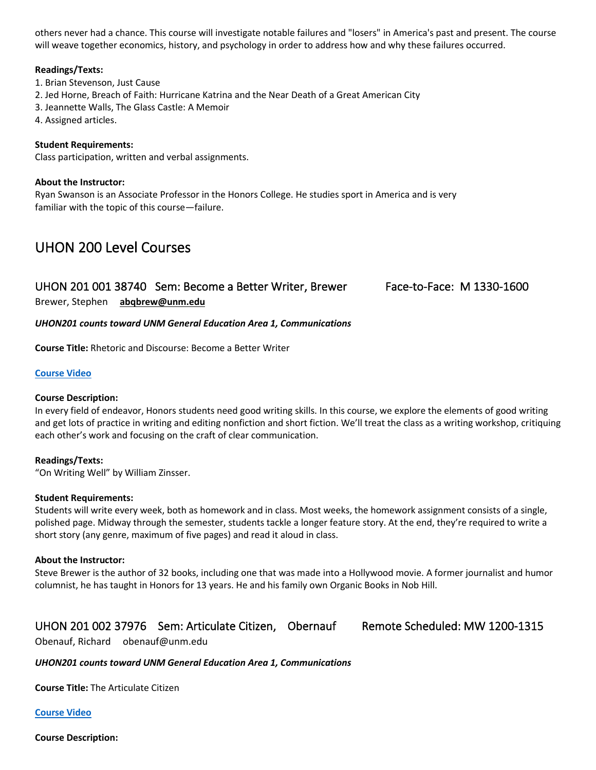others never had a chance. This course will investigate notable failures and "losers" in America's past and present. The course will weave together economics, history, and psychology in order to address how and why these failures occurred.

#### **Readings/Texts:**

1. Brian Stevenson, Just Cause

- 2. Jed Horne, Breach of Faith: Hurricane Katrina and the Near Death of a Great American City
- 3. Jeannette Walls, The Glass Castle: A Memoir
- 4. Assigned articles.

#### **Student Requirements:**

Class participation, written and verbal assignments.

#### **About the Instructor:**

Ryan Swanson is an Associate Professor in the Honors College. He studies sport in America and is very familiar with the topic of this course—failure.

# <span id="page-3-0"></span>UHON 200 Level Courses

# <span id="page-3-1"></span>UHON 201 001 38740 Sem: Become a Better Writer, Brewer Face-to-Face: M 1330-1600

Brewer, Stephen **[abqbrew@unm.edu](mailto:abqbrew@unm.edu)**

*UHON201 counts toward UNM General Education Area 1, Communications* 

**Course Title:** Rhetoric and Discourse: Become a Better Writer

#### **[Course Video](https://youtu.be/6b4NGWbnXJM)**

#### **Course Description:**

In every field of endeavor, Honors students need good writing skills. In this course, we explore the elements of good writing and get lots of practice in writing and editing nonfiction and short fiction. We'll treat the class as a writing workshop, critiquing each other's work and focusing on the craft of clear communication.

#### **Readings/Texts:**

"On Writing Well" by William Zinsser.

#### **Student Requirements:**

Students will write every week, both as homework and in class. Most weeks, the homework assignment consists of a single, polished page. Midway through the semester, students tackle a longer feature story. At the end, they're required to write a short story (any genre, maximum of five pages) and read it aloud in class.

#### **About the Instructor:**

Steve Brewer is the author of 32 books, including one that was made into a Hollywood movie. A former journalist and humor columnist, he has taught in Honors for 13 years. He and his family own Organic Books in Nob Hill.

# <span id="page-3-2"></span>UHON 201 002 37976 Sem: Articulate Citizen, Obernauf Remote Scheduled: MW 1200-1315

Obenauf, Richard obenauf@unm.edu

*UHON201 counts toward UNM General Education Area 1, Communications* 

**Course Title:** The Articulate Citizen

**[Course Video](https://youtu.be/D4G8sWWfdWo)**

**Course Description:**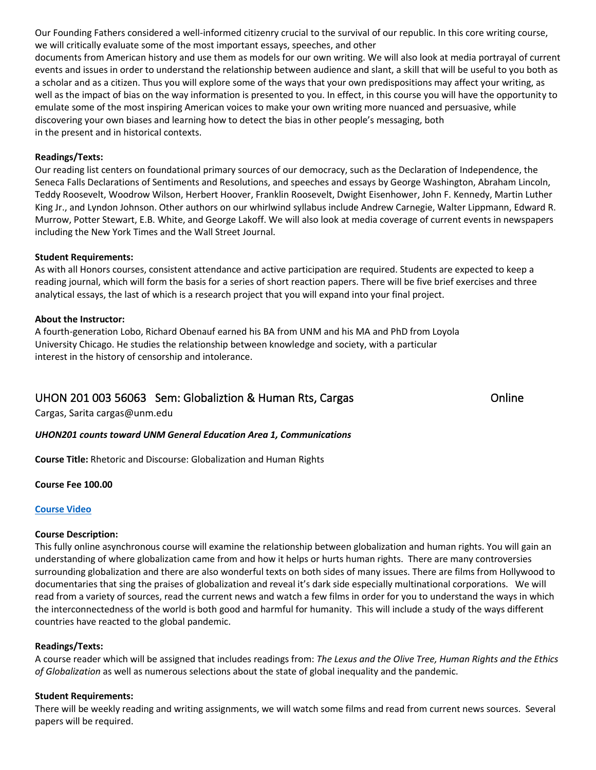Our Founding Fathers considered a well-informed citizenry crucial to the survival of our republic. In this core writing course, we will critically evaluate some of the most important essays, speeches, and other

documents from American history and use them as models for our own writing. We will also look at media portrayal of current events and issues in order to understand the relationship between audience and slant, a skill that will be useful to you both as a scholar and as a citizen. Thus you will explore some of the ways that your own predispositions may affect your writing, as well as the impact of bias on the way information is presented to you. In effect, in this course you will have the opportunity to emulate some of the most inspiring American voices to make your own writing more nuanced and persuasive, while discovering your own biases and learning how to detect the bias in other people's messaging, both in the present and in historical contexts.

#### **Readings/Texts:**

Our reading list centers on foundational primary sources of our democracy, such as the Declaration of Independence, the Seneca Falls Declarations of Sentiments and Resolutions, and speeches and essays by George Washington, Abraham Lincoln, Teddy Roosevelt, Woodrow Wilson, Herbert Hoover, Franklin Roosevelt, Dwight Eisenhower, John F. Kennedy, Martin Luther King Jr., and Lyndon Johnson. Other authors on our whirlwind syllabus include Andrew Carnegie, Walter Lippmann, Edward R. Murrow, Potter Stewart, E.B. White, and George Lakoff. We will also look at media coverage of current events in newspapers including the New York Times and the Wall Street Journal.

#### **Student Requirements:**

As with all Honors courses, consistent attendance and active participation are required. Students are expected to keep a reading journal, which will form the basis for a series of short reaction papers. There will be five brief exercises and three analytical essays, the last of which is a research project that you will expand into your final project.

#### **About the Instructor:**

A fourth-generation Lobo, Richard Obenauf earned his BA from UNM and his MA and PhD from Loyola University Chicago. He studies the relationship between knowledge and society, with a particular interest in the history of censorship and intolerance.

# <span id="page-4-0"></span>UHON 201 003 56063 Sem: Globaliztion & Human Rts, Cargas Content Condine

Cargas, Sarita cargas@unm.edu

#### *UHON201 counts toward UNM General Education Area 1, Communications*

**Course Title:** Rhetoric and Discourse: Globalization and Human Rights

#### **Course Fee 100.00**

#### **[Course Video](https://youtu.be/OYOTPgXNS0g)**

#### **Course Description:**

This fully online asynchronous course will examine the relationship between globalization and human rights. You will gain an understanding of where globalization came from and how it helps or hurts human rights. There are many controversies surrounding globalization and there are also wonderful texts on both sides of many issues. There are films from Hollywood to documentaries that sing the praises of globalization and reveal it's dark side especially multinational corporations. We will read from a variety of sources, read the current news and watch a few films in order for you to understand the ways in which the interconnectedness of the world is both good and harmful for humanity. This will include a study of the ways different countries have reacted to the global pandemic.

#### **Readings/Texts:**

A course reader which will be assigned that includes readings from: *The Lexus and the Olive Tree, Human Rights and the Ethics of Globalization* as well as numerous selections about the state of global inequality and the pandemic.

#### **Student Requirements:**

There will be weekly reading and writing assignments, we will watch some films and read from current news sources. Several papers will be required.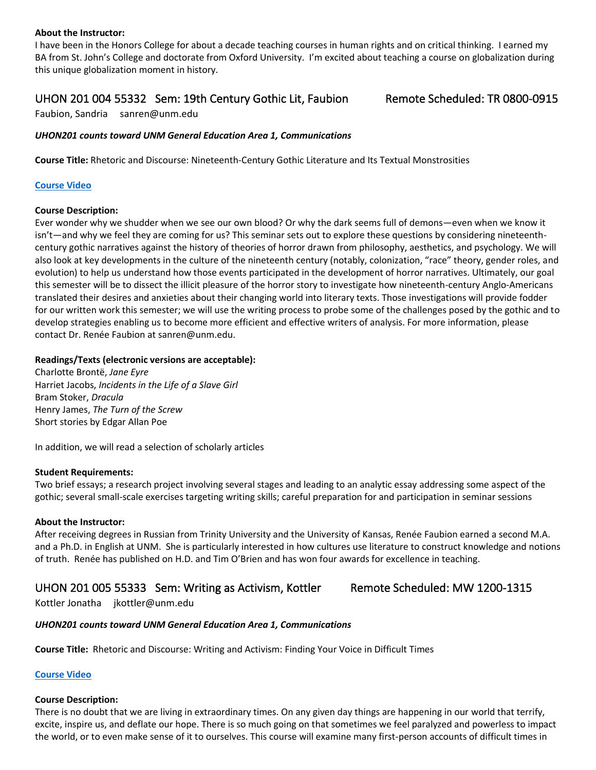#### **About the Instructor:**

I have been in the Honors College for about a decade teaching courses in human rights and on critical thinking. I earned my BA from St. John's College and doctorate from Oxford University. I'm excited about teaching a course on globalization during this unique globalization moment in history.

# <span id="page-5-0"></span>UHON 201 004 55332 Sem: 19th Century Gothic Lit, Faubion Remote Scheduled: TR 0800-0915

Faubion, Sandria sanren@unm.edu

#### *UHON201 counts toward UNM General Education Area 1, Communications*

**Course Title:** Rhetoric and Discourse: Nineteenth-Century Gothic Literature and Its Textual Monstrosities

#### **[Course Video](https://youtu.be/6b4NGWbnXJM)**

#### **Course Description:**

Ever wonder why we shudder when we see our own blood? Or why the dark seems full of demons—even when we know it isn't—and why we feel they are coming for us? This seminar sets out to explore these questions by considering nineteenthcentury gothic narratives against the history of theories of horror drawn from philosophy, aesthetics, and psychology. We will also look at key developments in the culture of the nineteenth century (notably, colonization, "race" theory, gender roles, and evolution) to help us understand how those events participated in the development of horror narratives. Ultimately, our goal this semester will be to dissect the illicit pleasure of the horror story to investigate how nineteenth-century Anglo-Americans translated their desires and anxieties about their changing world into literary texts. Those investigations will provide fodder for our written work this semester; we will use the writing process to probe some of the challenges posed by the gothic and to develop strategies enabling us to become more efficient and effective writers of analysis. For more information, please contact Dr. Renée Faubion at sanren@unm.edu.

#### **Readings/Texts (electronic versions are acceptable):**

Charlotte Brontë, *Jane Eyre* Harriet Jacobs, *Incidents in the Life of a Slave Girl* Bram Stoker, *Dracula* Henry James, *The Turn of the Screw* Short stories by Edgar Allan Poe

In addition, we will read a selection of scholarly articles

#### **Student Requirements:**

Two brief essays; a research project involving several stages and leading to an analytic essay addressing some aspect of the gothic; several small-scale exercises targeting writing skills; careful preparation for and participation in seminar sessions

#### **About the Instructor:**

After receiving degrees in Russian from Trinity University and the University of Kansas, Renée Faubion earned a second M.A. and a Ph.D. in English at UNM. She is particularly interested in how cultures use literature to construct knowledge and notions of truth. Renée has published on H.D. and Tim O'Brien and has won four awards for excellence in teaching.

# <span id="page-5-1"></span>UHON 201 005 55333 Sem: Writing as Activism, Kottler Remote Scheduled: MW 1200-1315

Kottler Jonatha jkottler@unm.edu

#### *UHON201 counts toward UNM General Education Area 1, Communications*

**Course Title:** Rhetoric and Discourse: Writing and Activism: Finding Your Voice in Difficult Times

#### **[Course Video](https://youtu.be/0GxBOS6RB0c)**

#### **Course Description:**

There is no doubt that we are living in extraordinary times. On any given day things are happening in our world that terrify, excite, inspire us, and deflate our hope. There is so much going on that sometimes we feel paralyzed and powerless to impact the world, or to even make sense of it to ourselves. This course will examine many first-person accounts of difficult times in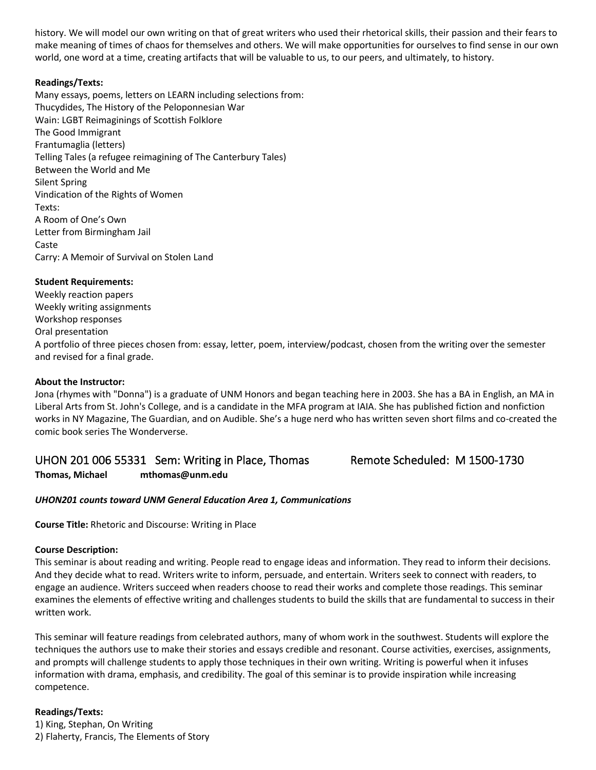history. We will model our own writing on that of great writers who used their rhetorical skills, their passion and their fears to make meaning of times of chaos for themselves and others. We will make opportunities for ourselves to find sense in our own world, one word at a time, creating artifacts that will be valuable to us, to our peers, and ultimately, to history.

#### **Readings/Texts:**

Many essays, poems, letters on LEARN including selections from: Thucydides, The History of the Peloponnesian War Wain: LGBT Reimaginings of Scottish Folklore The Good Immigrant Frantumaglia (letters) Telling Tales (a refugee reimagining of The Canterbury Tales) Between the World and Me Silent Spring Vindication of the Rights of Women Texts: A Room of One's Own Letter from Birmingham Jail Caste Carry: A Memoir of Survival on Stolen Land

#### **Student Requirements:**

Weekly reaction papers Weekly writing assignments Workshop responses Oral presentation A portfolio of three pieces chosen from: essay, letter, poem, interview/podcast, chosen from the writing over the semester and revised for a final grade.

#### **About the Instructor:**

Jona (rhymes with "Donna") is a graduate of UNM Honors and began teaching here in 2003. She has a BA in English, an MA in Liberal Arts from St. John's College, and is a candidate in the MFA program at IAIA. She has published fiction and nonfiction works in NY Magazine, The Guardian, and on Audible. She's a huge nerd who has written seven short films and co-created the comic book series The Wonderverse.

# <span id="page-6-0"></span>UHON 201 006 55331 Sem: Writing in Place, Thomas Remote Scheduled: M 1500-1730

**Thomas, Michael mthomas@unm.edu**

#### *UHON201 counts toward UNM General Education Area 1, Communications*

**Course Title:** Rhetoric and Discourse: Writing in Place

#### **Course Description:**

This seminar is about reading and writing. People read to engage ideas and information. They read to inform their decisions. And they decide what to read. Writers write to inform, persuade, and entertain. Writers seek to connect with readers, to engage an audience. Writers succeed when readers choose to read their works and complete those readings. This seminar examines the elements of effective writing and challenges students to build the skills that are fundamental to success in their written work.

This seminar will feature readings from celebrated authors, many of whom work in the southwest. Students will explore the techniques the authors use to make their stories and essays credible and resonant. Course activities, exercises, assignments, and prompts will challenge students to apply those techniques in their own writing. Writing is powerful when it infuses information with drama, emphasis, and credibility. The goal of this seminar is to provide inspiration while increasing competence.

#### **Readings/Texts:**

1) King, Stephan, On Writing 2) Flaherty, Francis, The Elements of Story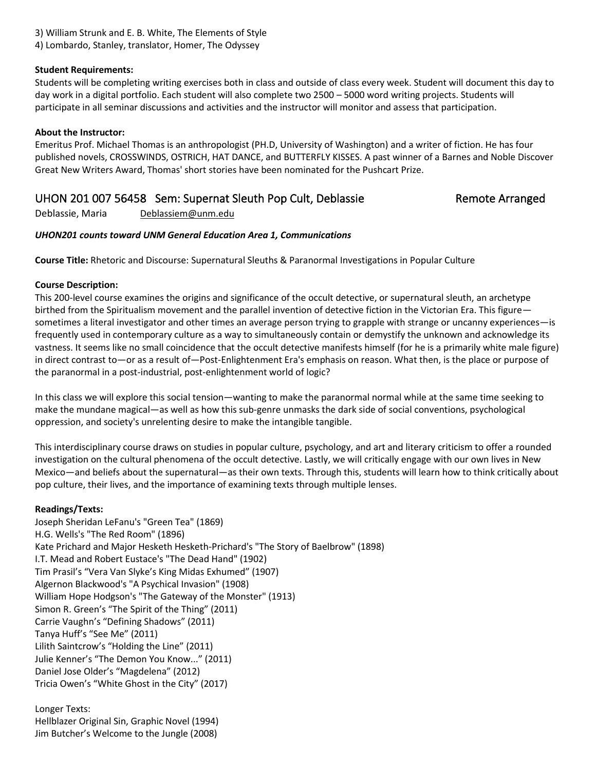3) William Strunk and E. B. White, The Elements of Style

4) Lombardo, Stanley, translator, Homer, The Odyssey

#### **Student Requirements:**

Students will be completing writing exercises both in class and outside of class every week. Student will document this day to day work in a digital portfolio. Each student will also complete two 2500 – 5000 word writing projects. Students will participate in all seminar discussions and activities and the instructor will monitor and assess that participation.

#### **About the Instructor:**

Emeritus Prof. Michael Thomas is an anthropologist (PH.D, University of Washington) and a writer of fiction. He has four published novels, CROSSWINDS, OSTRICH, HAT DANCE, and BUTTERFLY KISSES. A past winner of a Barnes and Noble Discover Great New Writers Award, Thomas' short stories have been nominated for the Pushcart Prize.

# <span id="page-7-0"></span>UHON 201 007 56458 Sem: Supernat Sleuth Pop Cult, Deblassie Remote Arranged

Deblassie, Maria [Deblassiem@unm.edu](mailto:Deblassiem@unm.edu)

#### *UHON201 counts toward UNM General Education Area 1, Communications*

**Course Title:** Rhetoric and Discourse: Supernatural Sleuths & Paranormal Investigations in Popular Culture

#### **Course Description:**

This 200-level course examines the origins and significance of the occult detective, or supernatural sleuth, an archetype birthed from the Spiritualism movement and the parallel invention of detective fiction in the Victorian Era. This figure sometimes a literal investigator and other times an average person trying to grapple with strange or uncanny experiences—is frequently used in contemporary culture as a way to simultaneously contain or demystify the unknown and acknowledge its vastness. It seems like no small coincidence that the occult detective manifests himself (for he is a primarily white male figure) in direct contrast to—or as a result of—Post-Enlightenment Era's emphasis on reason. What then, is the place or purpose of the paranormal in a post-industrial, post-enlightenment world of logic?

In this class we will explore this social tension—wanting to make the paranormal normal while at the same time seeking to make the mundane magical—as well as how this sub-genre unmasks the dark side of social conventions, psychological oppression, and society's unrelenting desire to make the intangible tangible.

This interdisciplinary course draws on studies in popular culture, psychology, and art and literary criticism to offer a rounded investigation on the cultural phenomena of the occult detective. Lastly, we will critically engage with our own lives in New Mexico—and beliefs about the supernatural—as their own texts. Through this, students will learn how to think critically about pop culture, their lives, and the importance of examining texts through multiple lenses.

#### **Readings/Texts:**

Joseph Sheridan LeFanu's "Green Tea" (1869) H.G. Wells's "The Red Room" (1896) Kate Prichard and Major Hesketh Hesketh-Prichard's "The Story of Baelbrow" (1898) I.T. Mead and Robert Eustace's "The Dead Hand" (1902) Tim Prasil's "Vera Van Slyke's King Midas Exhumed" (1907) Algernon Blackwood's "A Psychical Invasion" (1908) William Hope Hodgson's "The Gateway of the Monster" (1913) Simon R. Green's "The Spirit of the Thing" (2011) Carrie Vaughn's "Defining Shadows" (2011) Tanya Huff's "See Me" (2011) Lilith Saintcrow's "Holding the Line" (2011) Julie Kenner's "The Demon You Know..." (2011) Daniel Jose Older's "Magdelena" (2012) Tricia Owen's "White Ghost in the City" (2017)

Longer Texts: Hellblazer Original Sin, Graphic Novel (1994) Jim Butcher's Welcome to the Jungle (2008)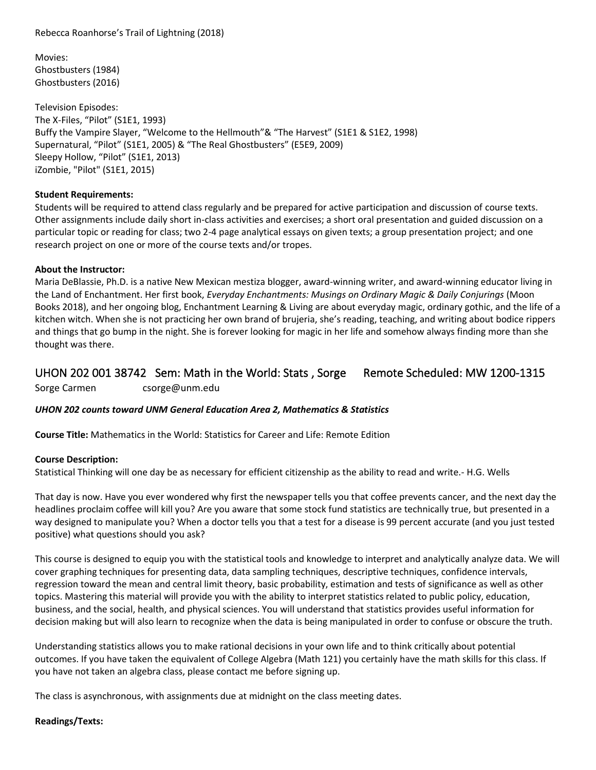Rebecca Roanhorse's Trail of Lightning (2018)

Movies: Ghostbusters (1984) Ghostbusters (2016)

Television Episodes: The X-Files, "Pilot" (S1E1, 1993) Buffy the Vampire Slayer, "Welcome to the Hellmouth"& "The Harvest" (S1E1 & S1E2, 1998) Supernatural, "Pilot" (S1E1, 2005) & "The Real Ghostbusters" (E5E9, 2009) Sleepy Hollow, "Pilot" (S1E1, 2013) iZombie, "Pilot" (S1E1, 2015)

#### **Student Requirements:**

Students will be required to attend class regularly and be prepared for active participation and discussion of course texts. Other assignments include daily short in-class activities and exercises; a short oral presentation and guided discussion on a particular topic or reading for class; two 2-4 page analytical essays on given texts; a group presentation project; and one research project on one or more of the course texts and/or tropes.

#### **About the Instructor:**

Maria DeBlassie, Ph.D. is a native New Mexican mestiza blogger, award-winning writer, and award-winning educator living in the Land of Enchantment. Her first book, *Everyday Enchantments: Musings on Ordinary Magic & Daily Conjurings* (Moon Books 2018), and her ongoing blog, Enchantment Learning & Living are about everyday magic, ordinary gothic, and the life of a kitchen witch. When she is not practicing her own brand of brujeria, she's reading, teaching, and writing about bodice rippers and things that go bump in the night. She is forever looking for magic in her life and somehow always finding more than she thought was there.

# <span id="page-8-0"></span>UHON 202 001 38742 Sem: Math in the World: Stats, Sorge Remote Scheduled: MW 1200-1315

Sorge Carmen csorge@unm.edu

#### *UHON 202 counts toward UNM General Education Area 2, Mathematics & Statistics*

**Course Title:** Mathematics in the World: Statistics for Career and Life: Remote Edition

#### **Course Description:**

Statistical Thinking will one day be as necessary for efficient citizenship as the ability to read and write.- H.G. Wells

That day is now. Have you ever wondered why first the newspaper tells you that coffee prevents cancer, and the next day the headlines proclaim coffee will kill you? Are you aware that some stock fund statistics are technically true, but presented in a way designed to manipulate you? When a doctor tells you that a test for a disease is 99 percent accurate (and you just tested positive) what questions should you ask?

This course is designed to equip you with the statistical tools and knowledge to interpret and analytically analyze data. We will cover graphing techniques for presenting data, data sampling techniques, descriptive techniques, confidence intervals, regression toward the mean and central limit theory, basic probability, estimation and tests of significance as well as other topics. Mastering this material will provide you with the ability to interpret statistics related to public policy, education, business, and the social, health, and physical sciences. You will understand that statistics provides useful information for decision making but will also learn to recognize when the data is being manipulated in order to confuse or obscure the truth.

Understanding statistics allows you to make rational decisions in your own life and to think critically about potential outcomes. If you have taken the equivalent of College Algebra (Math 121) you certainly have the math skills for this class. If you have not taken an algebra class, please contact me before signing up.

The class is asynchronous, with assignments due at midnight on the class meeting dates.

#### **Readings/Texts:**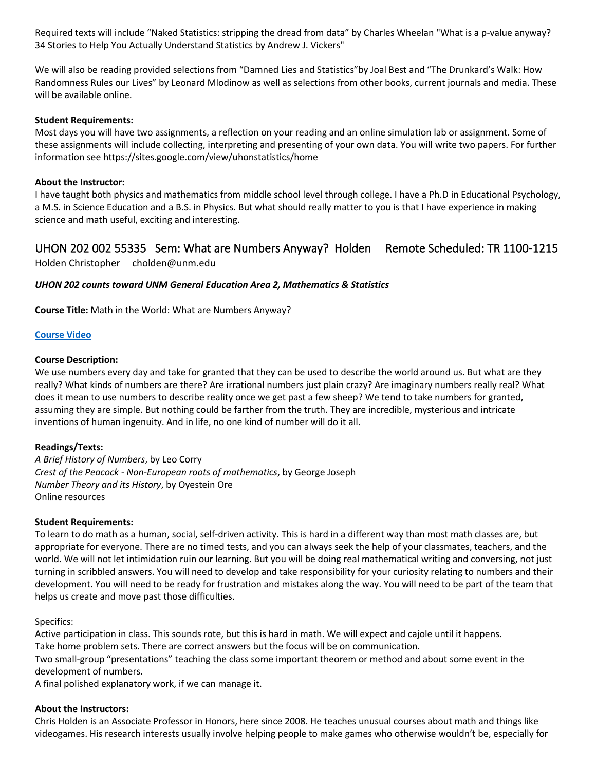Required texts will include "Naked Statistics: stripping the dread from data" by Charles Wheelan "What is a p-value anyway? 34 Stories to Help You Actually Understand Statistics by Andrew J. Vickers"

We will also be reading provided selections from "Damned Lies and Statistics"by Joal Best and "The Drunkard's Walk: How Randomness Rules our Lives" by Leonard Mlodinow as well as selections from other books, current journals and media. These will be available online.

#### **Student Requirements:**

Most days you will have two assignments, a reflection on your reading and an online simulation lab or assignment. Some of these assignments will include collecting, interpreting and presenting of your own data. You will write two papers. For further information see https://sites.google.com/view/uhonstatistics/home

#### **About the Instructor:**

I have taught both physics and mathematics from middle school level through college. I have a Ph.D in Educational Psychology, a M.S. in Science Education and a B.S. in Physics. But what should really matter to you is that I have experience in making science and math useful, exciting and interesting.

# <span id="page-9-0"></span>UHON 202 002 55335 Sem: What are Numbers Anyway? Holden Remote Scheduled: TR 1100-1215

Holden Christopher cholden@unm.edu

#### *UHON 202 counts toward UNM General Education Area 2, Mathematics & Statistics*

**Course Title:** Math in the World: What are Numbers Anyway?

#### **[Course Video](https://youtu.be/LGKQgcUri30)**

#### **Course Description:**

We use numbers every day and take for granted that they can be used to describe the world around us. But what are they really? What kinds of numbers are there? Are irrational numbers just plain crazy? Are imaginary numbers really real? What does it mean to use numbers to describe reality once we get past a few sheep? We tend to take numbers for granted, assuming they are simple. But nothing could be farther from the truth. They are incredible, mysterious and intricate inventions of human ingenuity. And in life, no one kind of number will do it all.

#### **Readings/Texts:**

*A Brief History of Numbers*, by Leo Corry *Crest of the Peacock - Non-European roots of mathematics*, by George Joseph *Number Theory and its History*, by Oyestein Ore Online resources

#### **Student Requirements:**

To learn to do math as a human, social, self-driven activity. This is hard in a different way than most math classes are, but appropriate for everyone. There are no timed tests, and you can always seek the help of your classmates, teachers, and the world. We will not let intimidation ruin our learning. But you will be doing real mathematical writing and conversing, not just turning in scribbled answers. You will need to develop and take responsibility for your curiosity relating to numbers and their development. You will need to be ready for frustration and mistakes along the way. You will need to be part of the team that helps us create and move past those difficulties.

#### Specifics:

Active participation in class. This sounds rote, but this is hard in math. We will expect and cajole until it happens. Take home problem sets. There are correct answers but the focus will be on communication.

Two small-group "presentations" teaching the class some important theorem or method and about some event in the development of numbers.

A final polished explanatory work, if we can manage it.

#### **About the Instructors:**

Chris Holden is an Associate Professor in Honors, here since 2008. He teaches unusual courses about math and things like videogames. His research interests usually involve helping people to make games who otherwise wouldn't be, especially for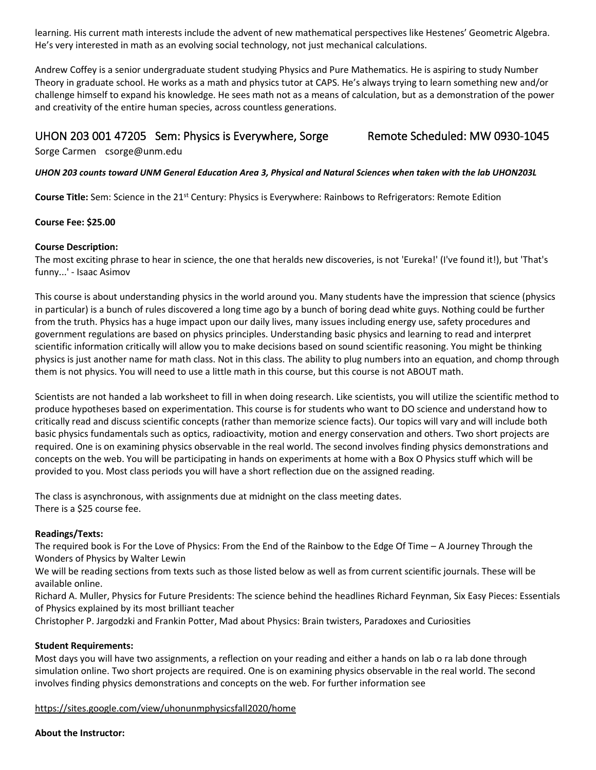learning. His current math interests include the advent of new mathematical perspectives like Hestenes' Geometric Algebra. He's very interested in math as an evolving social technology, not just mechanical calculations.

Andrew Coffey is a senior undergraduate student studying Physics and Pure Mathematics. He is aspiring to study Number Theory in graduate school. He works as a math and physics tutor at CAPS. He's always trying to learn something new and/or challenge himself to expand his knowledge. He sees math not as a means of calculation, but as a demonstration of the power and creativity of the entire human species, across countless generations.

# <span id="page-10-0"></span>UHON 203 001 47205 Sem: Physics is Everywhere, Sorge Remote Scheduled: MW 0930-1045

Sorge Carmen csorge@unm.edu

#### *UHON 203 counts toward UNM General Education Area 3, Physical and Natural Sciences when taken with the lab UHON203L*

**Course Title:** Sem: Science in the 21st Century: Physics is Everywhere: Rainbows to Refrigerators: Remote Edition

#### **Course Fee: \$25.00**

#### **Course Description:**

The most exciting phrase to hear in science, the one that heralds new discoveries, is not 'Eureka!' (I've found it!), but 'That's funny...' - Isaac Asimov

This course is about understanding physics in the world around you. Many students have the impression that science (physics in particular) is a bunch of rules discovered a long time ago by a bunch of boring dead white guys. Nothing could be further from the truth. Physics has a huge impact upon our daily lives, many issues including energy use, safety procedures and government regulations are based on physics principles. Understanding basic physics and learning to read and interpret scientific information critically will allow you to make decisions based on sound scientific reasoning. You might be thinking physics is just another name for math class. Not in this class. The ability to plug numbers into an equation, and chomp through them is not physics. You will need to use a little math in this course, but this course is not ABOUT math.

Scientists are not handed a lab worksheet to fill in when doing research. Like scientists, you will utilize the scientific method to produce hypotheses based on experimentation. This course is for students who want to DO science and understand how to critically read and discuss scientific concepts (rather than memorize science facts). Our topics will vary and will include both basic physics fundamentals such as optics, radioactivity, motion and energy conservation and others. Two short projects are required. One is on examining physics observable in the real world. The second involves finding physics demonstrations and concepts on the web. You will be participating in hands on experiments at home with a Box O Physics stuff which will be provided to you. Most class periods you will have a short reflection due on the assigned reading.

The class is asynchronous, with assignments due at midnight on the class meeting dates. There is a \$25 course fee.

#### **Readings/Texts:**

The required book is For the Love of Physics: From the End of the Rainbow to the Edge Of Time – A Journey Through the Wonders of Physics by Walter Lewin

We will be reading sections from texts such as those listed below as well as from current scientific journals. These will be available online.

Richard A. Muller, Physics for Future Presidents: The science behind the headlines Richard Feynman, Six Easy Pieces: Essentials of Physics explained by its most brilliant teacher

Christopher P. Jargodzki and Frankin Potter, Mad about Physics: Brain twisters, Paradoxes and Curiosities

#### **Student Requirements:**

Most days you will have two assignments, a reflection on your reading and either a hands on lab o ra lab done through simulation online. Two short projects are required. One is on examining physics observable in the real world. The second involves finding physics demonstrations and concepts on the web. For further information see

<https://sites.google.com/view/uhonunmphysicsfall2020/home>

#### **About the Instructor:**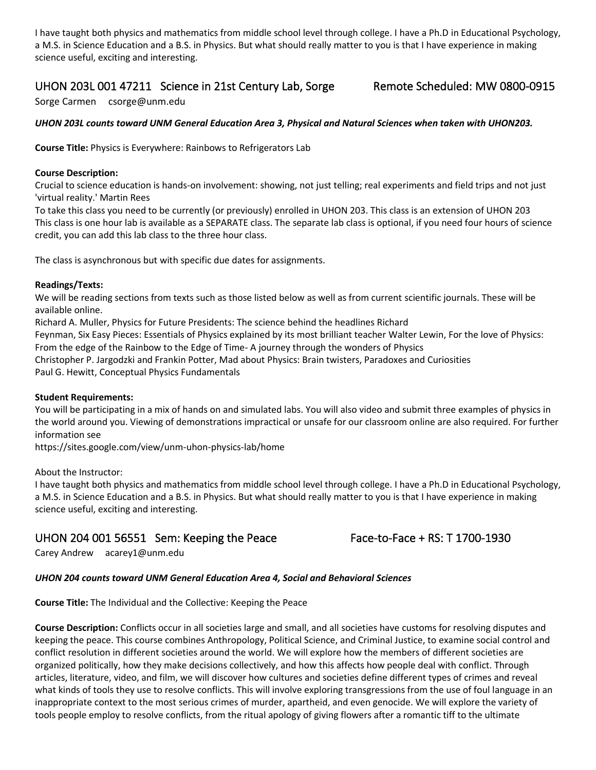I have taught both physics and mathematics from middle school level through college. I have a Ph.D in Educational Psychology, a M.S. in Science Education and a B.S. in Physics. But what should really matter to you is that I have experience in making science useful, exciting and interesting.

# <span id="page-11-0"></span>UHON 203L 001 47211 Science in 21st Century Lab, Sorge Remote Scheduled: MW 0800-0915

Sorge Carmen csorge@unm.edu

#### *UHON 203L counts toward UNM General Education Area 3, Physical and Natural Sciences when taken with UHON203.*

**Course Title:** Physics is Everywhere: Rainbows to Refrigerators Lab

#### **Course Description:**

Crucial to science education is hands-on involvement: showing, not just telling; real experiments and field trips and not just 'virtual reality.' Martin Rees

To take this class you need to be currently (or previously) enrolled in UHON 203. This class is an extension of UHON 203 This class is one hour lab is available as a SEPARATE class. The separate lab class is optional, if you need four hours of science credit, you can add this lab class to the three hour class.

The class is asynchronous but with specific due dates for assignments.

#### **Readings/Texts:**

We will be reading sections from texts such as those listed below as well as from current scientific journals. These will be available online.

Richard A. Muller, Physics for Future Presidents: The science behind the headlines Richard

Feynman, Six Easy Pieces: Essentials of Physics explained by its most brilliant teacher Walter Lewin, For the love of Physics: From the edge of the Rainbow to the Edge of Time- A journey through the wonders of Physics

Christopher P. Jargodzki and Frankin Potter, Mad about Physics: Brain twisters, Paradoxes and Curiosities Paul G. Hewitt, Conceptual Physics Fundamentals

#### **Student Requirements:**

You will be participating in a mix of hands on and simulated labs. You will also video and submit three examples of physics in the world around you. Viewing of demonstrations impractical or unsafe for our classroom online are also required. For further information see

https://sites.google.com/view/unm-uhon-physics-lab/home

#### About the Instructor:

I have taught both physics and mathematics from middle school level through college. I have a Ph.D in Educational Psychology, a M.S. in Science Education and a B.S. in Physics. But what should really matter to you is that I have experience in making science useful, exciting and interesting.

# <span id="page-11-1"></span>UHON 204 001 56551 Sem: Keeping the Peace Face-to-Face + RS:  $T$  1700-1930

Carey Andrew acarey1@unm.edu

# *UHON 204 counts toward UNM General Education Area 4, Social and Behavioral Sciences*

**Course Title:** The Individual and the Collective: Keeping the Peace

**Course Description:** Conflicts occur in all societies large and small, and all societies have customs for resolving disputes and keeping the peace. This course combines Anthropology, Political Science, and Criminal Justice, to examine social control and conflict resolution in different societies around the world. We will explore how the members of different societies are organized politically, how they make decisions collectively, and how this affects how people deal with conflict. Through articles, literature, video, and film, we will discover how cultures and societies define different types of crimes and reveal what kinds of tools they use to resolve conflicts. This will involve exploring transgressions from the use of foul language in an inappropriate context to the most serious crimes of murder, apartheid, and even genocide. We will explore the variety of tools people employ to resolve conflicts, from the ritual apology of giving flowers after a romantic tiff to the ultimate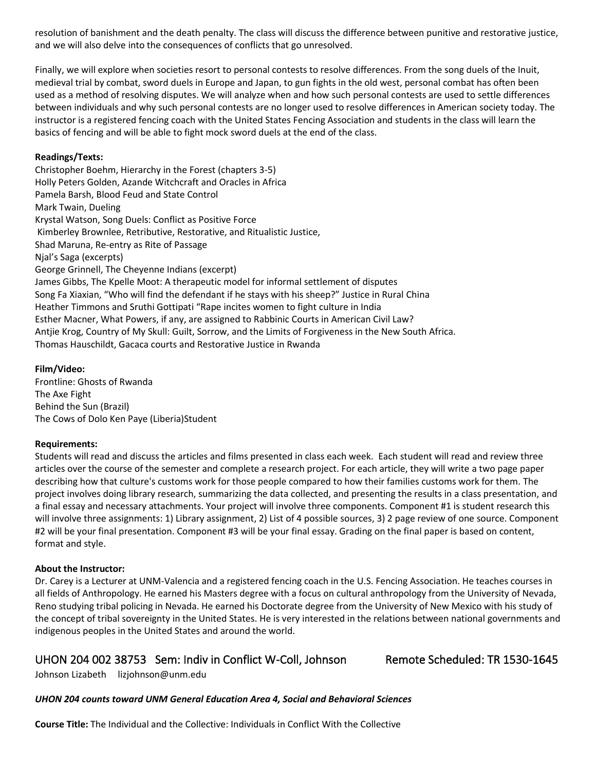resolution of banishment and the death penalty. The class will discuss the difference between punitive and restorative justice, and we will also delve into the consequences of conflicts that go unresolved.

Finally, we will explore when societies resort to personal contests to resolve differences. From the song duels of the Inuit, medieval trial by combat, sword duels in Europe and Japan, to gun fights in the old west, personal combat has often been used as a method of resolving disputes. We will analyze when and how such personal contests are used to settle differences between individuals and why such personal contests are no longer used to resolve differences in American society today. The instructor is a registered fencing coach with the United States Fencing Association and students in the class will learn the basics of fencing and will be able to fight mock sword duels at the end of the class.

#### **Readings/Texts:**

Christopher Boehm, Hierarchy in the Forest (chapters 3-5) Holly Peters Golden, Azande Witchcraft and Oracles in Africa Pamela Barsh, Blood Feud and State Control Mark Twain, Dueling Krystal Watson, Song Duels: Conflict as Positive Force Kimberley Brownlee, Retributive, Restorative, and Ritualistic Justice, Shad Maruna, Re-entry as Rite of Passage Njal's Saga (excerpts) George Grinnell, The Cheyenne Indians (excerpt) James Gibbs, The Kpelle Moot: A therapeutic model for informal settlement of disputes Song Fa Xiaxian, "Who will find the defendant if he stays with his sheep?" Justice in Rural China Heather Timmons and Sruthi Gottipati "Rape incites women to fight culture in India Esther Macner, What Powers, if any, are assigned to Rabbinic Courts in American Civil Law? Antjie Krog, Country of My Skull: Guilt, Sorrow, and the Limits of Forgiveness in the New South Africa. Thomas Hauschildt, Gacaca courts and Restorative Justice in Rwanda

#### **Film/Video:**

Frontline: Ghosts of Rwanda The Axe Fight Behind the Sun (Brazil) The Cows of Dolo Ken Paye (Liberia)Student

#### **Requirements:**

Students will read and discuss the articles and films presented in class each week. Each student will read and review three articles over the course of the semester and complete a research project. For each article, they will write a two page paper describing how that culture's customs work for those people compared to how their families customs work for them. The project involves doing library research, summarizing the data collected, and presenting the results in a class presentation, and a final essay and necessary attachments. Your project will involve three components. Component #1 is student research this will involve three assignments: 1) Library assignment, 2) List of 4 possible sources, 3) 2 page review of one source. Component #2 will be your final presentation. Component #3 will be your final essay. Grading on the final paper is based on content, format and style.

#### **About the Instructor:**

Dr. Carey is a Lecturer at UNM-Valencia and a registered fencing coach in the U.S. Fencing Association. He teaches courses in all fields of Anthropology. He earned his Masters degree with a focus on cultural anthropology from the University of Nevada, Reno studying tribal policing in Nevada. He earned his Doctorate degree from the University of New Mexico with his study of the concept of tribal sovereignty in the United States. He is very interested in the relations between national governments and indigenous peoples in the United States and around the world.

# <span id="page-12-0"></span>UHON 204 002 38753 Sem: Indiv in Conflict W-Coll, Johnson Remote Scheduled: TR 1530-1645

Johnson Lizabeth lizjohnson@unm.edu

# *UHON 204 counts toward UNM General Education Area 4, Social and Behavioral Sciences*

**Course Title:** The Individual and the Collective: Individuals in Conflict With the Collective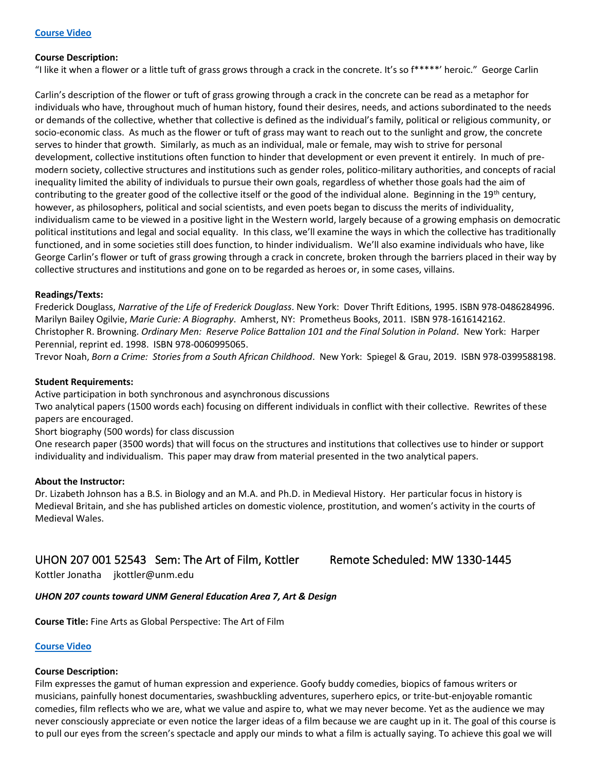#### **Course Description:**

"I like it when a flower or a little tuft of grass grows through a crack in the concrete. It's so f\*\*\*\*\*' heroic." George Carlin

Carlin's description of the flower or tuft of grass growing through a crack in the concrete can be read as a metaphor for individuals who have, throughout much of human history, found their desires, needs, and actions subordinated to the needs or demands of the collective, whether that collective is defined as the individual's family, political or religious community, or socio-economic class. As much as the flower or tuft of grass may want to reach out to the sunlight and grow, the concrete serves to hinder that growth. Similarly, as much as an individual, male or female, may wish to strive for personal development, collective institutions often function to hinder that development or even prevent it entirely. In much of premodern society, collective structures and institutions such as gender roles, politico-military authorities, and concepts of racial inequality limited the ability of individuals to pursue their own goals, regardless of whether those goals had the aim of contributing to the greater good of the collective itself or the good of the individual alone. Beginning in the  $19<sup>th</sup>$  century, however, as philosophers, political and social scientists, and even poets began to discuss the merits of individuality, individualism came to be viewed in a positive light in the Western world, largely because of a growing emphasis on democratic political institutions and legal and social equality. In this class, we'll examine the ways in which the collective has traditionally functioned, and in some societies still does function, to hinder individualism. We'll also examine individuals who have, like George Carlin's flower or tuft of grass growing through a crack in concrete, broken through the barriers placed in their way by collective structures and institutions and gone on to be regarded as heroes or, in some cases, villains.

#### **Readings/Texts:**

Frederick Douglass, *Narrative of the Life of Frederick Douglass*. New York: Dover Thrift Editions, 1995. ISBN 978-0486284996. Marilyn Bailey Ogilvie, *Marie Curie: A Biography*. Amherst, NY: Prometheus Books, 2011. ISBN 978-1616142162. Christopher R. Browning. *Ordinary Men: Reserve Police Battalion 101 and the Final Solution in Poland*. New York: Harper Perennial, reprint ed. 1998. ISBN 978-0060995065.

Trevor Noah, *Born a Crime: Stories from a South African Childhood*. New York: Spiegel & Grau, 2019. ISBN 978-0399588198.

#### **Student Requirements:**

Active participation in both synchronous and asynchronous discussions

Two analytical papers (1500 words each) focusing on different individuals in conflict with their collective. Rewrites of these papers are encouraged.

Short biography (500 words) for class discussion

One research paper (3500 words) that will focus on the structures and institutions that collectives use to hinder or support individuality and individualism. This paper may draw from material presented in the two analytical papers.

#### **About the Instructor:**

Dr. Lizabeth Johnson has a B.S. in Biology and an M.A. and Ph.D. in Medieval History. Her particular focus in history is Medieval Britain, and she has published articles on domestic violence, prostitution, and women's activity in the courts of Medieval Wales.

# <span id="page-13-0"></span>UHON 207 001 52543 Sem: The Art of Film, Kottler Remote Scheduled: MW 1330-1445

Kottler Jonatha jkottler@unm.edu

# *UHON 207 counts toward UNM General Education Area 7, Art & Design*

**Course Title:** Fine Arts as Global Perspective: The Art of Film

# **[Course Video](https://youtu.be/jKSEL8cK2X8)**

# **Course Description:**

Film expresses the gamut of human expression and experience. Goofy buddy comedies, biopics of famous writers or musicians, painfully honest documentaries, swashbuckling adventures, superhero epics, or trite-but-enjoyable romantic comedies, film reflects who we are, what we value and aspire to, what we may never become. Yet as the audience we may never consciously appreciate or even notice the larger ideas of a film because we are caught up in it. The goal of this course is to pull our eyes from the screen's spectacle and apply our minds to what a film is actually saying. To achieve this goal we will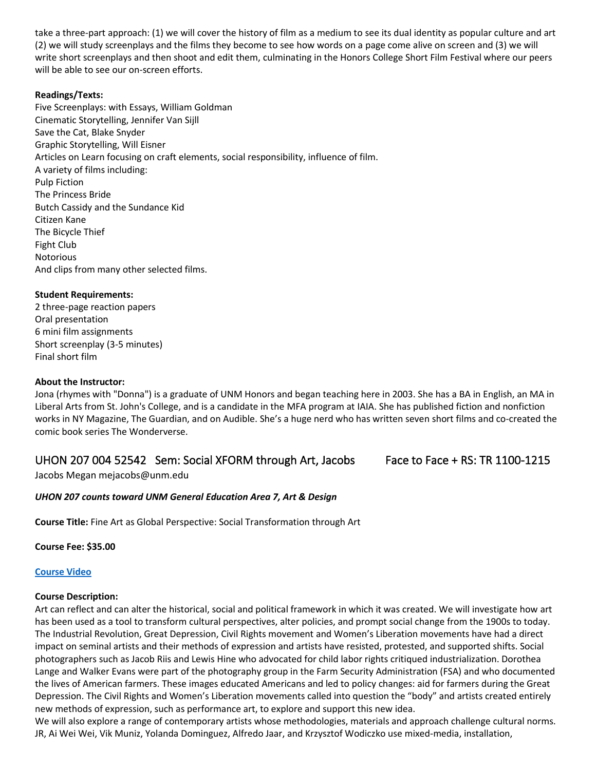take a three-part approach: (1) we will cover the history of film as a medium to see its dual identity as popular culture and art (2) we will study screenplays and the films they become to see how words on a page come alive on screen and (3) we will write short screenplays and then shoot and edit them, culminating in the Honors College Short Film Festival where our peers will be able to see our on-screen efforts.

#### **Readings/Texts:**

Five Screenplays: with Essays, William Goldman Cinematic Storytelling, Jennifer Van Sijll Save the Cat, Blake Snyder Graphic Storytelling, Will Eisner Articles on Learn focusing on craft elements, social responsibility, influence of film. A variety of films including: Pulp Fiction The Princess Bride Butch Cassidy and the Sundance Kid Citizen Kane The Bicycle Thief Fight Club Notorious And clips from many other selected films.

#### **Student Requirements:**

2 three-page reaction papers Oral presentation 6 mini film assignments Short screenplay (3-5 minutes) Final short film

#### **About the Instructor:**

Jona (rhymes with "Donna") is a graduate of UNM Honors and began teaching here in 2003. She has a BA in English, an MA in Liberal Arts from St. John's College, and is a candidate in the MFA program at IAIA. She has published fiction and nonfiction works in NY Magazine, The Guardian, and on Audible. She's a huge nerd who has written seven short films and co-created the comic book series The Wonderverse.

# <span id="page-14-0"></span>UHON 207 004 52542 Sem: Social XFORM through Art, Jacobs Face to Face + RS: TR 1100-1215

Jacobs Megan mejacobs@unm.edu

#### *UHON 207 counts toward UNM General Education Area 7, Art & Design*

**Course Title:** Fine Art as Global Perspective: Social Transformation through Art

**Course Fee: \$35.00** 

#### **[Course Video](https://youtu.be/qb9Vp3A7Qbo)**

#### **Course Description:**

Art can reflect and can alter the historical, social and political framework in which it was created. We will investigate how art has been used as a tool to transform cultural perspectives, alter policies, and prompt social change from the 1900s to today. The Industrial Revolution, Great Depression, Civil Rights movement and Women's Liberation movements have had a direct impact on seminal artists and their methods of expression and artists have resisted, protested, and supported shifts. Social photographers such as Jacob Riis and Lewis Hine who advocated for child labor rights critiqued industrialization. Dorothea Lange and Walker Evans were part of the photography group in the Farm Security Administration (FSA) and who documented the lives of American farmers. These images educated Americans and led to policy changes: aid for farmers during the Great Depression. The Civil Rights and Women's Liberation movements called into question the "body" and artists created entirely new methods of expression, such as performance art, to explore and support this new idea.

We will also explore a range of contemporary artists whose methodologies, materials and approach challenge cultural norms. JR, Ai Wei Wei, Vik Muniz, Yolanda Dominguez, Alfredo Jaar, and Krzysztof Wodiczko use mixed-media, installation,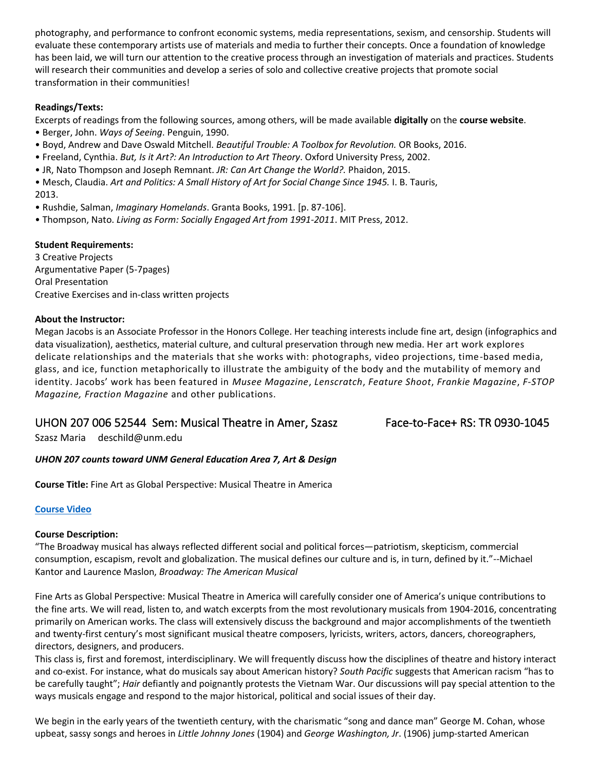photography, and performance to confront economic systems, media representations, sexism, and censorship. Students will evaluate these contemporary artists use of materials and media to further their concepts. Once a foundation of knowledge has been laid, we will turn our attention to the creative process through an investigation of materials and practices. Students will research their communities and develop a series of solo and collective creative projects that promote social transformation in their communities!

#### **Readings/Texts:**

Excerpts of readings from the following sources, among others, will be made available **digitally** on the **course website**.

- Berger, John. *Ways of Seeing*. Penguin, 1990.
- Boyd, Andrew and Dave Oswald Mitchell. *Beautiful Trouble: A Toolbox for Revolution.* OR Books, 2016.
- Freeland, Cynthia. *But, Is it Art?: An Introduction to Art Theory*. Oxford University Press, 2002.
- JR, Nato Thompson and Joseph Remnant. *JR: Can Art Change the World?.* Phaidon, 2015.

• Mesch, Claudia. *Art and Politics: A Small History of Art for Social Change Since 1945.* I. B. Tauris, 2013.

• Rushdie, Salman, *Imaginary Homelands*. Granta Books, 1991. [p. 87-106].

• Thompson, Nato. *Living as Form: Socially Engaged Art from 1991-2011*. MIT Press, 2012.

#### **Student Requirements:**

3 Creative Projects Argumentative Paper (5-7pages) Oral Presentation Creative Exercises and in-class written projects

#### **About the Instructor:**

Megan Jacobs is an Associate Professor in the Honors College. Her teaching interests include fine art, design (infographics and data visualization), aesthetics, material culture, and cultural preservation through new media. Her art work explores delicate relationships and the materials that she works with: photographs, video projections, time-based media, glass, and ice, function metaphorically to illustrate the ambiguity of the body and the mutability of memory and identity. Jacobs' work has been featured in *Musee Magazine*, *Lenscratch*, *Feature Shoot*, *Frankie Magazine*, *F-STOP Magazine, Fraction Magazine* and other publications.

# <span id="page-15-0"></span>UHON 207 006 52544 Sem: Musical Theatre in Amer, Szasz Face-to-Face+ RS: TR 0930-1045

Szasz Maria deschild@unm.edu

# *UHON 207 counts toward UNM General Education Area 7, Art & Design*

**Course Title:** Fine Art as Global Perspective: Musical Theatre in America

#### **[Course Video](https://youtu.be/l_u8Rn8f-II)**

#### **Course Description:**

"The Broadway musical has always reflected different social and political forces—patriotism, skepticism, commercial consumption, escapism, revolt and globalization. The musical defines our culture and is, in turn, defined by it."--Michael Kantor and Laurence Maslon, *Broadway: The American Musical*

Fine Arts as Global Perspective: Musical Theatre in America will carefully consider one of America's unique contributions to the fine arts. We will read, listen to, and watch excerpts from the most revolutionary musicals from 1904-2016, concentrating primarily on American works. The class will extensively discuss the background and major accomplishments of the twentieth and twenty-first century's most significant musical theatre composers, lyricists, writers, actors, dancers, choreographers, directors, designers, and producers.

This class is, first and foremost, interdisciplinary. We will frequently discuss how the disciplines of theatre and history interact and co-exist. For instance, what do musicals say about American history? *South Pacific* suggests that American racism "has to be carefully taught"; *Hair* defiantly and poignantly protests the Vietnam War. Our discussions will pay special attention to the ways musicals engage and respond to the major historical, political and social issues of their day.

We begin in the early years of the twentieth century, with the charismatic "song and dance man" George M. Cohan, whose upbeat, sassy songs and heroes in *Little Johnny Jones* (1904) and *George Washington, Jr*. (1906) jump-started American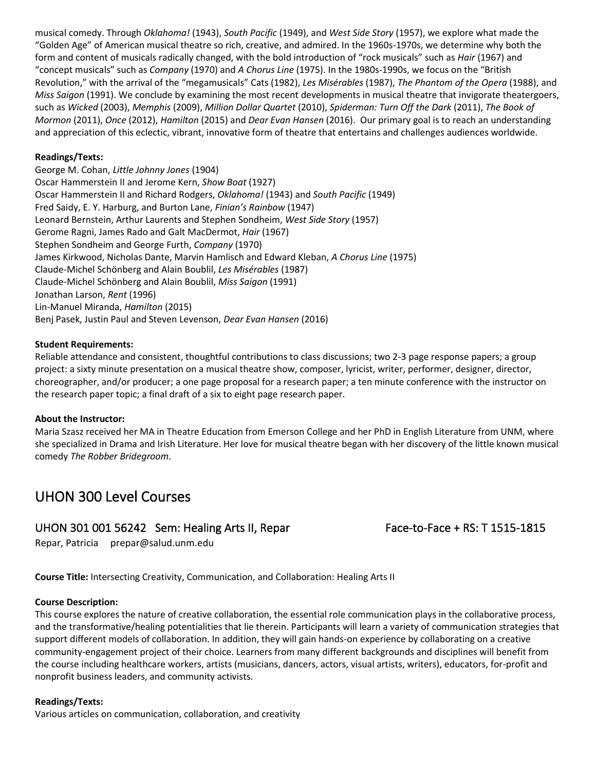musical comedy. Through *Oklahoma!* (1943), *South Pacific* (1949), and *West Side Story* (1957), we explore what made the "Golden Age" of American musical theatre so rich, creative, and admired. In the 1960s-1970s, we determine why both the form and content of musicals radically changed, with the bold introduction of "rock musicals" such as *Hair* (1967) and "concept musicals" such as *Company* (1970) and *A Chorus Line* (1975). In the 1980s-1990s, we focus on the "British Revolution," with the arrival of the "megamusicals" Cats (1982), *Les Misérables* (1987), *The Phantom of the Opera* (1988), and *Miss Saigon* (1991). We conclude by examining the most recent developments in musical theatre that invigorate theatergoers, such as *Wicked* (2003), *Memphis* (2009), *Million Dollar Quartet* (2010), *Spiderman: Turn Off the Dark* (2011), *The Book of Mormon* (2011), *Once* (2012), *Hamilton* (2015) and *Dear Evan Hansen* (2016). Our primary goal is to reach an understanding and appreciation of this eclectic, vibrant, innovative form of theatre that entertains and challenges audiences worldwide.

#### **Readings/Texts:**

George M. Cohan, *Little Johnny Jones* (1904) Oscar Hammerstein II and Jerome Kern, *Show Boat* (1927) Oscar Hammerstein II and Richard Rodgers, *Oklahoma!* (1943) and *South Pacific* (1949) Fred Saidy, E. Y. Harburg, and Burton Lane, *Finian's Rainbow* (1947) Leonard Bernstein, Arthur Laurents and Stephen Sondheim, *West Side Story* (1957) Gerome Ragni, James Rado and Galt MacDermot, *Hair* (1967) Stephen Sondheim and George Furth, *Company* (1970) James Kirkwood, Nicholas Dante, Marvin Hamlisch and Edward Kleban, *A Chorus Line* (1975) Claude-Michel Schönberg and Alain Boublil, *Les Misérables* (1987) Claude-Michel Schönberg and Alain Boublil, *Miss Saigon* (1991) Jonathan Larson, *Rent* (1996) Lin-Manuel Miranda, *Hamilton* (2015) Benj Pasek, Justin Paul and Steven Levenson, *Dear Evan Hansen* (2016)

#### **Student Requirements:**

Reliable attendance and consistent, thoughtful contributions to class discussions; two 2-3 page response papers; a group project: a sixty minute presentation on a musical theatre show, composer, lyricist, writer, performer, designer, director, choreographer, and/or producer; a one page proposal for a research paper; a ten minute conference with the instructor on the research paper topic; a final draft of a six to eight page research paper.

#### **About the Instructor:**

Maria Szasz received her MA in Theatre Education from Emerson College and her PhD in English Literature from UNM, where she specialized in Drama and Irish Literature. Her love for musical theatre began with her discovery of the little known musical comedy *The Robber Bridegroom*.

# <span id="page-16-0"></span>UHON 300 Level Courses

# <span id="page-16-1"></span>UHON 301 001 56242 Sem: Healing Arts II, Repar Face-to-Face + RS: T 1515-1815

Repar, Patricia prepar@salud.unm.edu

**Course Title:** Intersecting Creativity, Communication, and Collaboration: Healing Arts II

# **Course Description:**

This course explores the nature of creative collaboration, the essential role communication plays in the collaborative process, and the transformative/healing potentialities that lie therein. Participants will learn a variety of communication strategies that support different models of collaboration. In addition, they will gain hands-on experience by collaborating on a creative community-engagement project of their choice. Learners from many different backgrounds and disciplines will benefit from the course including healthcare workers, artists (musicians, dancers, actors, visual artists, writers), educators, for-profit and nonprofit business leaders, and community activists.

#### **Readings/Texts:**

Various articles on communication, collaboration, and creativity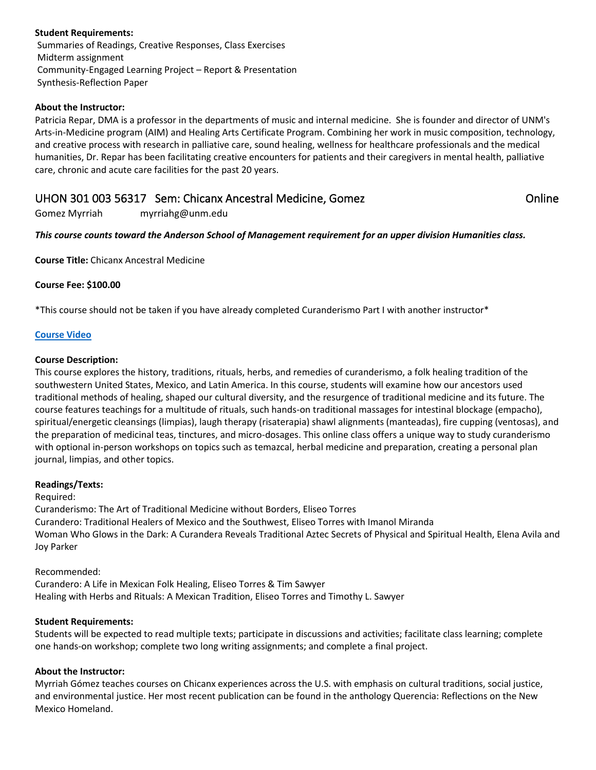#### **Student Requirements:**

Summaries of Readings, Creative Responses, Class Exercises Midterm assignment Community-Engaged Learning Project – Report & Presentation Synthesis-Reflection Paper

#### **About the Instructor:**

Patricia Repar, DMA is a professor in the departments of music and internal medicine. She is founder and director of UNM's Arts-in-Medicine program (AIM) and Healing Arts Certificate Program. Combining her work in music composition, technology, and creative process with research in palliative care, sound healing, wellness for healthcare professionals and the medical humanities, Dr. Repar has been facilitating creative encounters for patients and their caregivers in mental health, palliative care, chronic and acute care facilities for the past 20 years.

# <span id="page-17-0"></span>UHON 301 003 56317 Sem: Chicanx Ancestral Medicine, Gomez Changes And Conline

Gomez Myrriah myrriahg@unm.edu

*This course counts toward the Anderson School of Management requirement for an upper division Humanities class.* 

**Course Title:** Chicanx Ancestral Medicine

#### **Course Fee: \$100.00**

\*This course should not be taken if you have already completed Curanderismo Part I with another instructor\*

#### **[Course Video](https://youtu.be/e65rchJMy_o)**

#### **Course Description:**

This course explores the history, traditions, rituals, herbs, and remedies of curanderismo, a folk healing tradition of the southwestern United States, Mexico, and Latin America. In this course, students will examine how our ancestors used traditional methods of healing, shaped our cultural diversity, and the resurgence of traditional medicine and its future. The course features teachings for a multitude of rituals, such hands-on traditional massages for intestinal blockage (empacho), spiritual/energetic cleansings (limpias), laugh therapy (risaterapia) shawl alignments (manteadas), fire cupping (ventosas), and the preparation of medicinal teas, tinctures, and micro-dosages. This online class offers a unique way to study curanderismo with optional in-person workshops on topics such as temazcal, herbal medicine and preparation, creating a personal plan journal, limpias, and other topics.

#### **Readings/Texts:**

Required:

Curanderismo: The Art of Traditional Medicine without Borders, Eliseo Torres Curandero: Traditional Healers of Mexico and the Southwest, Eliseo Torres with Imanol Miranda Woman Who Glows in the Dark: A Curandera Reveals Traditional Aztec Secrets of Physical and Spiritual Health, Elena Avila and Joy Parker

Recommended:

Curandero: A Life in Mexican Folk Healing, Eliseo Torres & Tim Sawyer Healing with Herbs and Rituals: A Mexican Tradition, Eliseo Torres and Timothy L. Sawyer

#### **Student Requirements:**

Students will be expected to read multiple texts; participate in discussions and activities; facilitate class learning; complete one hands-on workshop; complete two long writing assignments; and complete a final project.

#### **About the Instructor:**

Myrriah Gómez teaches courses on Chicanx experiences across the U.S. with emphasis on cultural traditions, social justice, and environmental justice. Her most recent publication can be found in the anthology Querencia: Reflections on the New Mexico Homeland.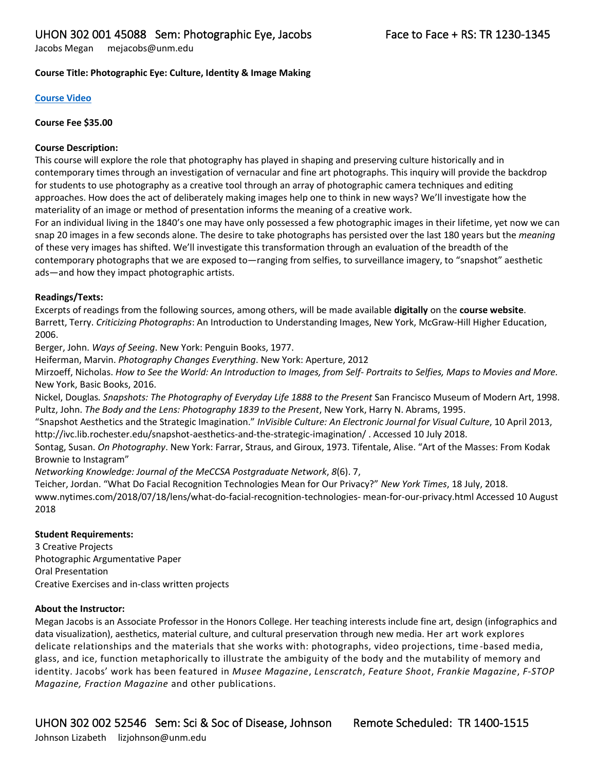# <span id="page-18-0"></span>UHON 302 001 45088 Sem: Photographic Eye, Jacobs Face to Face + RS: TR 1230-1345

Jacobs Megan mejacobs@unm.edu

#### **Course Title: Photographic Eye: Culture, Identity & Image Making**

#### **[Course Video](https://youtu.be/mXS-4LLrywY)**

#### **Course Fee \$35.00**

#### **Course Description:**

This course will explore the role that photography has played in shaping and preserving culture historically and in contemporary times through an investigation of vernacular and fine art photographs. This inquiry will provide the backdrop for students to use photography as a creative tool through an array of photographic camera techniques and editing approaches. How does the act of deliberately making images help one to think in new ways? We'll investigate how the materiality of an image or method of presentation informs the meaning of a creative work.

For an individual living in the 1840's one may have only possessed a few photographic images in their lifetime, yet now we can snap 20 images in a few seconds alone. The desire to take photographs has persisted over the last 180 years but the *meaning*  of these very images has shifted. We'll investigate this transformation through an evaluation of the breadth of the contemporary photographs that we are exposed to—ranging from selfies, to surveillance imagery, to "snapshot" aesthetic ads—and how they impact photographic artists.

#### **Readings/Texts:**

Excerpts of readings from the following sources, among others, will be made available **digitally** on the **course website**. Barrett, Terry. *Criticizing Photographs*: An Introduction to Understanding Images, New York, McGraw-Hill Higher Education, 2006.

Berger, John. *Ways of Seeing*. New York: Penguin Books, 1977.

Heiferman, Marvin. *Photography Changes Everything*. New York: Aperture, 2012

Mirzoeff, Nicholas. *How to See the World: An Introduction to Images, from Self- Portraits to Selfies, Maps to Movies and More.*  New York, Basic Books, 2016.

Nickel, Douglas*. Snapshots: The Photography of Everyday Life 1888 to the Present* San Francisco Museum of Modern Art, 1998. Pultz, John. *The Body and the Lens: Photography 1839 to the Present*, New York, Harry N. Abrams, 1995.

"Snapshot Aesthetics and the Strategic Imagination." *InVisible Culture: An Electronic Journal for Visual Culture*, 10 April 2013, http://ivc.lib.rochester.edu/snapshot-aesthetics-and-the-strategic-imagination/ . Accessed 10 July 2018.

Sontag, Susan. *On Photography*. New York: Farrar, Straus, and Giroux, 1973. Tifentale, Alise. "Art of the Masses: From Kodak Brownie to Instagram"

*Networking Knowledge: Journal of the MeCCSA Postgraduate Network*, *8*(6). 7,

Teicher, Jordan. "What Do Facial Recognition Technologies Mean for Our Privacy?" *New York Times*, 18 July, 2018.

www.nytimes.com/2018/07/18/lens/what-do-facial-recognition-technologies- mean-for-our-privacy.html Accessed 10 August 2018

#### **Student Requirements:**

3 Creative Projects Photographic Argumentative Paper Oral Presentation Creative Exercises and in-class written projects

<span id="page-18-1"></span>Johnson Lizabeth lizjohnson@unm.edu

#### **About the Instructor:**

Megan Jacobs is an Associate Professor in the Honors College. Her teaching interests include fine art, design (infographics and data visualization), aesthetics, material culture, and cultural preservation through new media. Her art work explores delicate relationships and the materials that she works with: photographs, video projections, time -based media, glass, and ice, function metaphorically to illustrate the ambiguity of the body and the mutability of memory and identity. Jacobs' work has been featured in *Musee Magazine*, *Lenscratch*, *Feature Shoot*, *Frankie Magazine*, *F-STOP Magazine, Fraction Magazine* and other publications.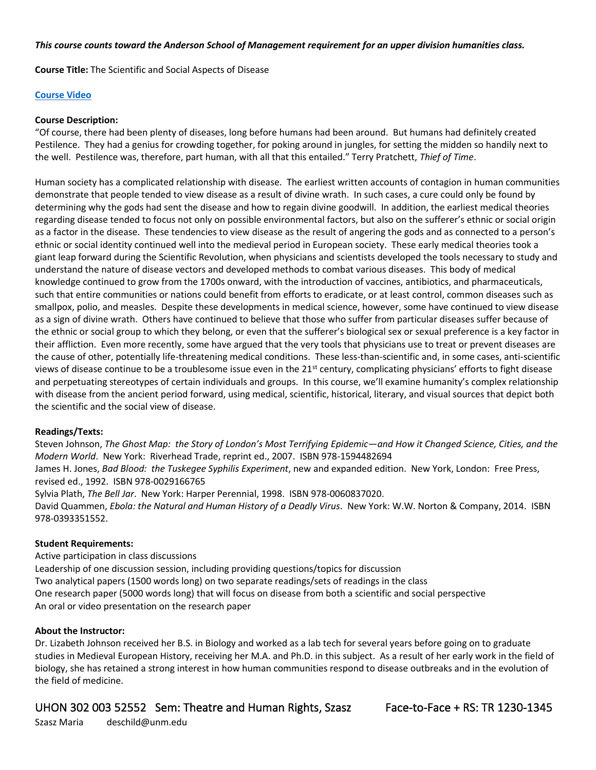#### *This course counts toward the Anderson School of Management requirement for an upper division humanities class.*

**Course Title:** The Scientific and Social Aspects of Disease

#### **[Course Video](https://youtu.be/i-rafER2Ow8)**

#### **Course Description:**

"Of course, there had been plenty of diseases, long before humans had been around. But humans had definitely created Pestilence. They had a genius for crowding together, for poking around in jungles, for setting the midden so handily next to the well. Pestilence was, therefore, part human, with all that this entailed." Terry Pratchett, *Thief of Time*.

Human society has a complicated relationship with disease. The earliest written accounts of contagion in human communities demonstrate that people tended to view disease as a result of divine wrath. In such cases, a cure could only be found by determining why the gods had sent the disease and how to regain divine goodwill. In addition, the earliest medical theories regarding disease tended to focus not only on possible environmental factors, but also on the sufferer's ethnic or social origin as a factor in the disease. These tendencies to view disease as the result of angering the gods and as connected to a person's ethnic or social identity continued well into the medieval period in European society. These early medical theories took a giant leap forward during the Scientific Revolution, when physicians and scientists developed the tools necessary to study and understand the nature of disease vectors and developed methods to combat various diseases. This body of medical knowledge continued to grow from the 1700s onward, with the introduction of vaccines, antibiotics, and pharmaceuticals, such that entire communities or nations could benefit from efforts to eradicate, or at least control, common diseases such as smallpox, polio, and measles. Despite these developments in medical science, however, some have continued to view disease as a sign of divine wrath. Others have continued to believe that those who suffer from particular diseases suffer because of the ethnic or social group to which they belong, or even that the sufferer's biological sex or sexual preference is a key factor in their affliction. Even more recently, some have argued that the very tools that physicians use to treat or prevent diseases are the cause of other, potentially life-threatening medical conditions. These less-than-scientific and, in some cases, anti-scientific views of disease continue to be a troublesome issue even in the 21<sup>st</sup> century, complicating physicians' efforts to fight disease and perpetuating stereotypes of certain individuals and groups. In this course, we'll examine humanity's complex relationship with disease from the ancient period forward, using medical, scientific, historical, literary, and visual sources that depict both the scientific and the social view of disease.

#### **Readings/Texts:**

Steven Johnson, *The Ghost Map: the Story of London's Most Terrifying Epidemic—and How it Changed Science, Cities, and the Modern World*. New York: Riverhead Trade, reprint ed., 2007. ISBN 978-1594482694 James H. Jones, *Bad Blood: the Tuskegee Syphilis Experiment*, new and expanded edition. New York, London: Free Press, revised ed., 1992. ISBN 978-0029166765 Sylvia Plath, *The Bell Jar*. New York: Harper Perennial, 1998. ISBN 978-0060837020. David Quammen, *Ebola: the Natural and Human History of a Deadly Virus*. New York: W.W. Norton & Company, 2014. ISBN 978-0393351552.

#### **Student Requirements:**

Active participation in class discussions Leadership of one discussion session, including providing questions/topics for discussion Two analytical papers (1500 words long) on two separate readings/sets of readings in the class One research paper (5000 words long) that will focus on disease from both a scientific and social perspective An oral or video presentation on the research paper

#### **About the Instructor:**

Dr. Lizabeth Johnson received her B.S. in Biology and worked as a lab tech for several years before going on to graduate studies in Medieval European History, receiving her M.A. and Ph.D. in this subject. As a result of her early work in the field of biology, she has retained a strong interest in how human communities respond to disease outbreaks and in the evolution of the field of medicine.

# <span id="page-19-0"></span>UHON 302 003 52552 Sem: Theatre and Human Rights, Szasz Face-to-Face + RS: TR 1230-1345

Szasz Maria [deschild@unm.edu](mailto:deschild@unm.edu)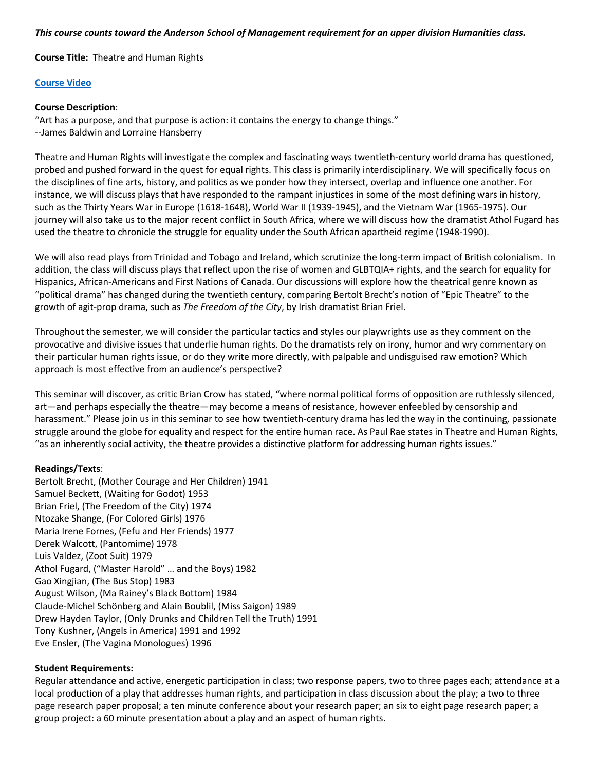#### *This course counts toward the Anderson School of Management requirement for an upper division Humanities class.*

**Course Title:** Theatre and Human Rights

#### **[Course Video](https://youtu.be/WsqRDT2PQZo)**

#### **Course Description**:

"Art has a purpose, and that purpose is action: it contains the energy to change things." --James Baldwin and Lorraine Hansberry

Theatre and Human Rights will investigate the complex and fascinating ways twentieth-century world drama has questioned, probed and pushed forward in the quest for equal rights. This class is primarily interdisciplinary. We will specifically focus on the disciplines of fine arts, history, and politics as we ponder how they intersect, overlap and influence one another. For instance, we will discuss plays that have responded to the rampant injustices in some of the most defining wars in history, such as the Thirty Years War in Europe (1618-1648), World War II (1939-1945), and the Vietnam War (1965-1975). Our journey will also take us to the major recent conflict in South Africa, where we will discuss how the dramatist Athol Fugard has used the theatre to chronicle the struggle for equality under the South African apartheid regime (1948-1990).

We will also read plays from Trinidad and Tobago and Ireland, which scrutinize the long-term impact of British colonialism. In addition, the class will discuss plays that reflect upon the rise of women and GLBTQIA+ rights, and the search for equality for Hispanics, African-Americans and First Nations of Canada. Our discussions will explore how the theatrical genre known as "political drama" has changed during the twentieth century, comparing Bertolt Brecht's notion of "Epic Theatre" to the growth of agit-prop drama, such as *The Freedom of the City*, by Irish dramatist Brian Friel.

Throughout the semester, we will consider the particular tactics and styles our playwrights use as they comment on the provocative and divisive issues that underlie human rights. Do the dramatists rely on irony, humor and wry commentary on their particular human rights issue, or do they write more directly, with palpable and undisguised raw emotion? Which approach is most effective from an audience's perspective?

This seminar will discover, as critic Brian Crow has stated, "where normal political forms of opposition are ruthlessly silenced, art—and perhaps especially the theatre—may become a means of resistance, however enfeebled by censorship and harassment." Please join us in this seminar to see how twentieth-century drama has led the way in the continuing, passionate struggle around the globe for equality and respect for the entire human race. As Paul Rae states in Theatre and Human Rights, "as an inherently social activity, the theatre provides a distinctive platform for addressing human rights issues."

#### **Readings/Texts**:

Bertolt Brecht, (Mother Courage and Her Children) 1941 Samuel Beckett, (Waiting for Godot) 1953 Brian Friel, (The Freedom of the City) 1974 Ntozake Shange, (For Colored Girls) 1976 Maria Irene Fornes, (Fefu and Her Friends) 1977 Derek Walcott, (Pantomime) 1978 Luis Valdez, (Zoot Suit) 1979 Athol Fugard, ("Master Harold" … and the Boys) 1982 Gao Xingjian, (The Bus Stop) 1983 August Wilson, (Ma Rainey's Black Bottom) 1984 Claude-Michel Schönberg and Alain Boublil, (Miss Saigon) 1989 Drew Hayden Taylor, (Only Drunks and Children Tell the Truth) 1991 Tony Kushner, (Angels in America) 1991 and 1992 Eve Ensler, (The Vagina Monologues) 1996

#### **Student Requirements:**

Regular attendance and active, energetic participation in class; two response papers, two to three pages each; attendance at a local production of a play that addresses human rights, and participation in class discussion about the play; a two to three page research paper proposal; a ten minute conference about your research paper; an six to eight page research paper; a group project: a 60 minute presentation about a play and an aspect of human rights.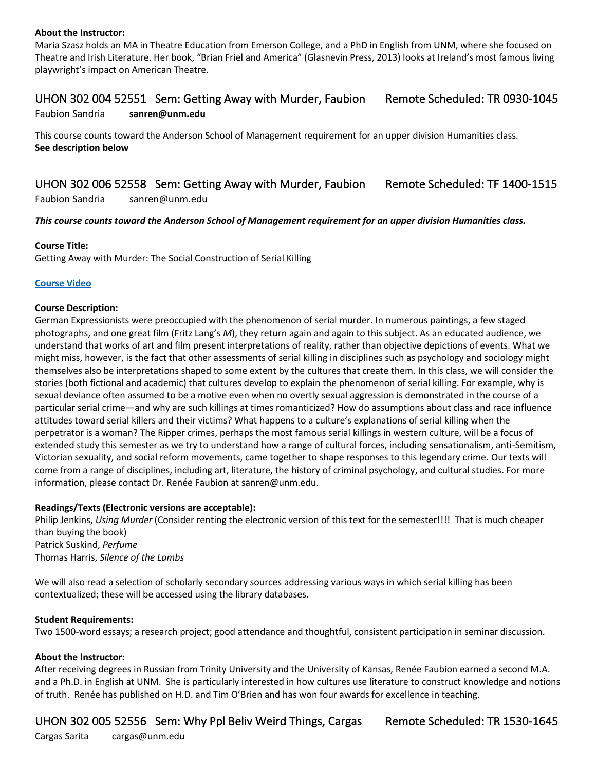#### **About the Instructor:**

Maria Szasz holds an MA in Theatre Education from Emerson College, and a PhD in English from UNM, where she focused on Theatre and Irish Literature. Her book, "Brian Friel and America" (Glasnevin Press, 2013) looks at Ireland's most famous living playwright's impact on American Theatre.

# <span id="page-21-0"></span>UHON 302 004 52551 Sem: Getting Away with Murder, Faubion Remote Scheduled: TR 0930-1045

Faubion Sandria **[sanren@unm.edu](mailto:sanren@unm.edu)**

This course counts toward the Anderson School of Management requirement for an upper division Humanities class. **See description below**

# <span id="page-21-1"></span>UHON 302 006 52558 Sem: Getting Away with Murder, Faubion Remote Scheduled: TF 1400-1515

Faubion Sandria sanren@unm.edu

#### *This course counts toward the Anderson School of Management requirement for an upper division Humanities class.*

#### **Course Title:**

Getting Away with Murder: The Social Construction of Serial Killing

#### **[Course Video](https://youtu.be/KiwTl95JMBs)**

#### **Course Description:**

German Expressionists were preoccupied with the phenomenon of serial murder. In numerous paintings, a few staged photographs, and one great film (Fritz Lang's *M*), they return again and again to this subject. As an educated audience, we understand that works of art and film present interpretations of reality, rather than objective depictions of events. What we might miss, however, is the fact that other assessments of serial killing in disciplines such as psychology and sociology might themselves also be interpretations shaped to some extent by the cultures that create them. In this class, we will consider the stories (both fictional and academic) that cultures develop to explain the phenomenon of serial killing. For example, why is sexual deviance often assumed to be a motive even when no overtly sexual aggression is demonstrated in the course of a particular serial crime—and why are such killings at times romanticized? How do assumptions about class and race influence attitudes toward serial killers and their victims? What happens to a culture's explanations of serial killing when the perpetrator is a woman? The Ripper crimes, perhaps the most famous serial killings in western culture, will be a focus of extended study this semester as we try to understand how a range of cultural forces, including sensationalism, anti-Semitism, Victorian sexuality, and social reform movements, came together to shape responses to this legendary crime. Our texts will come from a range of disciplines, including art, literature, the history of criminal psychology, and cultural studies. For more information, please contact Dr. Renée Faubion at sanren@unm.edu.

#### **Readings/Texts (Electronic versions are acceptable):**

Philip Jenkins, *Using Murder* (Consider renting the electronic version of this text for the semester!!!! That is much cheaper than buying the book) Patrick Suskind, *Perfume* Thomas Harris, *Silence of the Lambs*

We will also read a selection of scholarly secondary sources addressing various ways in which serial killing has been contextualized; these will be accessed using the library databases.

#### **Student Requirements:**

Two 1500-word essays; a research project; good attendance and thoughtful, consistent participation in seminar discussion.

#### **About the Instructor:**

After receiving degrees in Russian from Trinity University and the University of Kansas, Renée Faubion earned a second M.A. and a Ph.D. in English at UNM. She is particularly interested in how cultures use literature to construct knowledge and notions of truth. Renée has published on H.D. and Tim O'Brien and has won four awards for excellence in teaching.

# <span id="page-21-2"></span>UHON 302 005 52556 Sem: Why Ppl Beliv Weird Things, Cargas Remote Scheduled: TR 1530-1645

Cargas Sarita cargas@unm.edu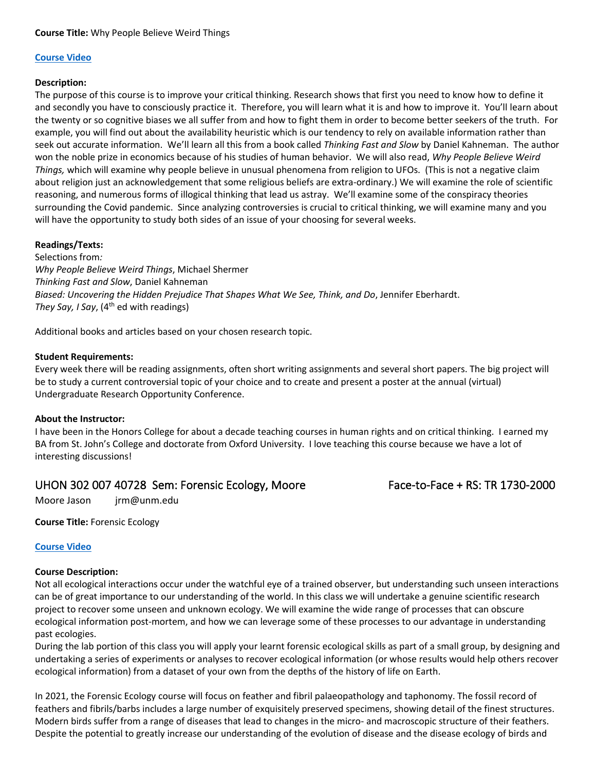#### **[Course Video](https://youtu.be/1bifB35wRk4)**

#### **Description:**

The purpose of this course is to improve your critical thinking. Research shows that first you need to know how to define it and secondly you have to consciously practice it. Therefore, you will learn what it is and how to improve it. You'll learn about the twenty or so cognitive biases we all suffer from and how to fight them in order to become better seekers of the truth. For example, you will find out about the availability heuristic which is our tendency to rely on available information rather than seek out accurate information. We'll learn all this from a book called *Thinking Fast and Slow* by Daniel Kahneman. The author won the noble prize in economics because of his studies of human behavior. We will also read, *Why People Believe Weird Things,* which will examine why people believe in unusual phenomena from religion to UFOs. (This is not a negative claim about religion just an acknowledgement that some religious beliefs are extra-ordinary.) We will examine the role of scientific reasoning, and numerous forms of illogical thinking that lead us astray. We'll examine some of the conspiracy theories surrounding the Covid pandemic. Since analyzing controversies is crucial to critical thinking, we will examine many and you will have the opportunity to study both sides of an issue of your choosing for several weeks.

#### **Readings/Texts:**

Selections from*: Why People Believe Weird Things*, Michael Shermer *Thinking Fast and Slow*, Daniel Kahneman *Biased: Uncovering the Hidden Prejudice That Shapes What We See, Think, and Do*, Jennifer Eberhardt. *They Say, I Say*, (4th ed with readings)

Additional books and articles based on your chosen research topic.

#### **Student Requirements:**

Every week there will be reading assignments, often short writing assignments and several short papers. The big project will be to study a current controversial topic of your choice and to create and present a poster at the annual (virtual) Undergraduate Research Opportunity Conference.

#### **About the Instructor:**

I have been in the Honors College for about a decade teaching courses in human rights and on critical thinking. I earned my BA from St. John's College and doctorate from Oxford University. I love teaching this course because we have a lot of interesting discussions!

# <span id="page-22-0"></span>UHON 302 007 40728 Sem: Forensic Ecology, Moore Face-to-Face + RS: TR 1730-2000

Moore Jason jrm@unm.edu

**Course Title:** Forensic Ecology

#### **[Course Video](https://youtu.be/FE78uZySxhc)**

#### **Course Description:**

Not all ecological interactions occur under the watchful eye of a trained observer, but understanding such unseen interactions can be of great importance to our understanding of the world. In this class we will undertake a genuine scientific research project to recover some unseen and unknown ecology. We will examine the wide range of processes that can obscure ecological information post-mortem, and how we can leverage some of these processes to our advantage in understanding past ecologies.

During the lab portion of this class you will apply your learnt forensic ecological skills as part of a small group, by designing and undertaking a series of experiments or analyses to recover ecological information (or whose results would help others recover ecological information) from a dataset of your own from the depths of the history of life on Earth.

In 2021, the Forensic Ecology course will focus on feather and fibril palaeopathology and taphonomy. The fossil record of feathers and fibrils/barbs includes a large number of exquisitely preserved specimens, showing detail of the finest structures. Modern birds suffer from a range of diseases that lead to changes in the micro- and macroscopic structure of their feathers. Despite the potential to greatly increase our understanding of the evolution of disease and the disease ecology of birds and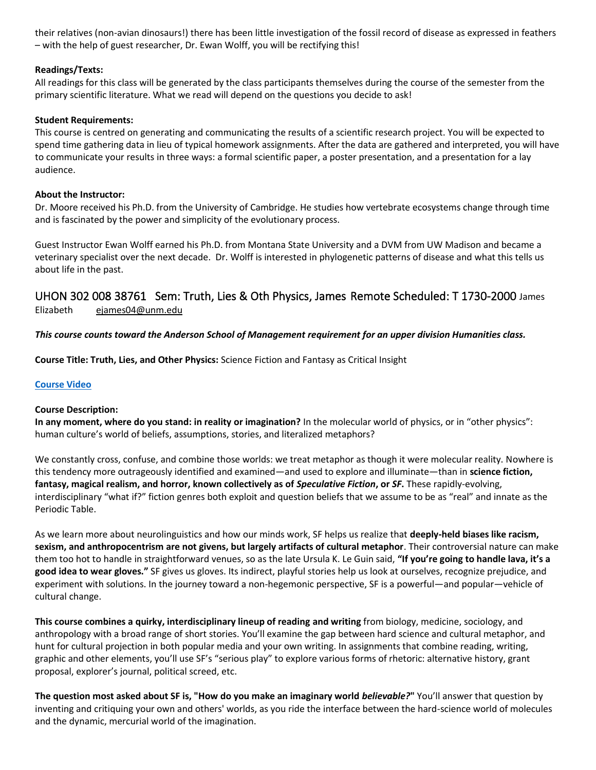their relatives (non-avian dinosaurs!) there has been little investigation of the fossil record of disease as expressed in feathers – with the help of guest researcher, Dr. Ewan Wolff, you will be rectifying this!

#### **Readings/Texts:**

All readings for this class will be generated by the class participants themselves during the course of the semester from the primary scientific literature. What we read will depend on the questions you decide to ask!

#### **Student Requirements:**

This course is centred on generating and communicating the results of a scientific research project. You will be expected to spend time gathering data in lieu of typical homework assignments. After the data are gathered and interpreted, you will have to communicate your results in three ways: a formal scientific paper, a poster presentation, and a presentation for a lay audience.

#### **About the Instructor:**

Dr. Moore received his Ph.D. from the University of Cambridge. He studies how vertebrate ecosystems change through time and is fascinated by the power and simplicity of the evolutionary process.

Guest Instructor Ewan Wolff earned his Ph.D. from Montana State University and a DVM from UW Madison and became a veterinary specialist over the next decade. Dr. Wolff is interested in phylogenetic patterns of disease and what this tells us about life in the past.

#### <span id="page-23-0"></span>UHON 302 008 38761 Sem: Truth, Lies & Oth Physics, James Remote Scheduled: T 1730-2000 James Elizabeth [ejames04@unm.edu](mailto:ejames04@unm.edu)

*This course counts toward the Anderson School of Management requirement for an upper division Humanities class.*

**Course Title: Truth, Lies, and Other Physics:** Science Fiction and Fantasy as Critical Insight

#### **[Course Video](https://youtu.be/Zp3Yl9fiVZ8)**

#### **Course Description:**

**In any moment, where do you stand: in reality or imagination?** In the molecular world of physics, or in "other physics": human culture's world of beliefs, assumptions, stories, and literalized metaphors?

We constantly cross, confuse, and combine those worlds: we treat metaphor as though it were molecular reality. Nowhere is this tendency more outrageously identified and examined—and used to explore and illuminate—than in **science fiction, fantasy, magical realism, and horror, known collectively as of** *Speculative Fiction***, or** *SF***.** These rapidly-evolving, interdisciplinary "what if?" fiction genres both exploit and question beliefs that we assume to be as "real" and innate as the Periodic Table.

As we learn more about neurolinguistics and how our minds work, SF helps us realize that **deeply-held biases like racism, sexism, and anthropocentrism are not givens, but largely artifacts of cultural metaphor**. Their controversial nature can make them too hot to handle in straightforward venues, so as the late Ursula K. Le Guin said, **"If you're going to handle lava, it's a good idea to wear gloves."** SF gives us gloves. Its indirect, playful stories help us look at ourselves, recognize prejudice, and experiment with solutions. In the journey toward a non-hegemonic perspective, SF is a powerful—and popular—vehicle of cultural change.

**This course combines a quirky, interdisciplinary lineup of reading and writing** from biology, medicine, sociology, and anthropology with a broad range of short stories. You'll examine the gap between hard science and cultural metaphor, and hunt for cultural projection in both popular media and your own writing. In assignments that combine reading, writing, graphic and other elements, you'll use SF's "serious play" to explore various forms of rhetoric: alternative history, grant proposal, explorer's journal, political screed, etc.

**The question most asked about SF is, "How do you make an imaginary world** *believable?***"** You'll answer that question by inventing and critiquing your own and others' worlds, as you ride the interface between the hard-science world of molecules and the dynamic, mercurial world of the imagination.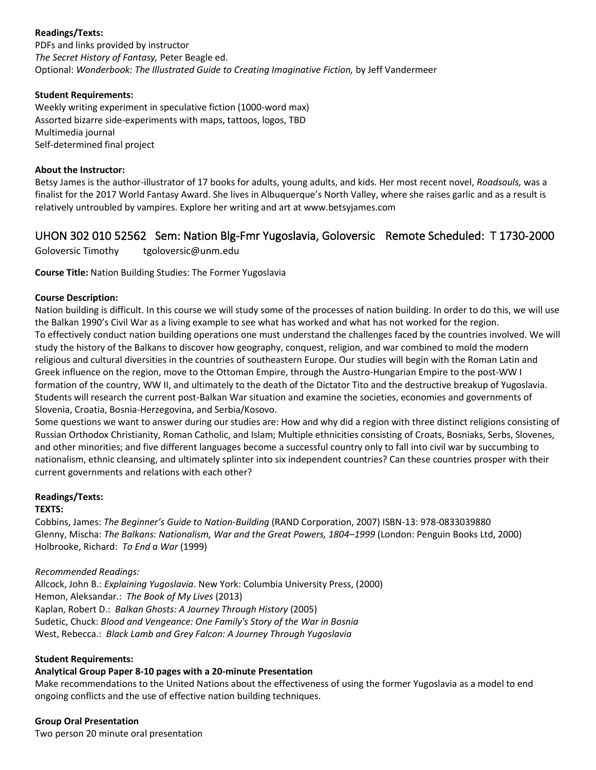#### **Readings/Texts:**

PDFs and links provided by instructor *The Secret History of Fantasy,* Peter Beagle ed. Optional: *Wonderbook: The Illustrated Guide to Creating Imaginative Fiction,* by Jeff Vandermeer

#### **Student Requirements:**

Weekly writing experiment in speculative fiction (1000-word max) Assorted bizarre side-experiments with maps, tattoos, logos, TBD Multimedia journal Self-determined final project

#### **About the Instructor:**

Betsy James is the author-illustrator of 17 books for adults, young adults, and kids. Her most recent novel, *Roadsouls,* was a finalist for the 2017 World Fantasy Award. She lives in Albuquerque's North Valley, where she raises garlic and as a result is relatively untroubled by vampires. Explore her writing and art at www.betsyjames.com

# <span id="page-24-0"></span>UHON 302 010 52562 Sem: Nation Blg-Fmr Yugoslavia, Goloversic Remote Scheduled: T 1730-2000

Goloversic Timothy tgoloversic@unm.edu

**Course Title:** Nation Building Studies: The Former Yugoslavia

#### **Course Description:**

Nation building is difficult. In this course we will study some of the processes of nation building. In order to do this, we will use the Balkan 1990's Civil War as a living example to see what has worked and what has not worked for the region. To effectively conduct nation building operations one must understand the challenges faced by the countries involved. We will study the history of the Balkans to discover how geography, conquest, religion, and war combined to mold the modern religious and cultural diversities in the countries of southeastern Europe. Our studies will begin with the Roman Latin and Greek influence on the region, move to the Ottoman Empire, through the Austro-Hungarian Empire to the post-WW I formation of the country, WW II, and ultimately to the death of the Dictator Tito and the destructive breakup of Yugoslavia. Students will research the current post-Balkan War situation and examine the societies, economies and governments of Slovenia, Croatia, Bosnia-Herzegovina, and Serbia/Kosovo.

Some questions we want to answer during our studies are: How and why did a region with three distinct religions consisting of Russian Orthodox Christianity, Roman Catholic, and Islam; Multiple ethnicities consisting of Croats, Bosniaks, Serbs, Slovenes, and other minorities; and five different languages become a successful country only to fall into civil war by succumbing to nationalism, ethnic cleansing, and ultimately splinter into six independent countries? Can these countries prosper with their current governments and relations with each other?

#### **Readings/Texts:**

#### **TEXTS:**

Cobbins, James: *The Beginner's Guide to Nation-Building* (RAND Corporation, 2007) ISBN-13: 978-0833039880 [Glenny, Mischa:](http://en.wikipedia.org/wiki/Misha_Glenny) *The Balkans: Nationalism, War and the Great Powers, 1804–1999* (London: Penguin Books Ltd, 2000) Holbrooke, Richard: *To End a War* (1999)

#### *Recommended Readings:*

Allcock, John B.: *Explaining Yugoslavia*. New York: Columbia University Press, (2000) Hemon, Aleksandar.: *The Book of My Lives* (2013) Kaplan, Robert D.: *Balkan Ghosts: A Journey Through History* (2005) Sudetic, Chuck: *Blood and Vengeance: One Family's Story of the War in Bosnia* West, Rebecca.: *Black Lamb and Grey Falcon: A Journey Through Yugoslavia*

#### **Student Requirements:**

#### **Analytical Group Paper 8-10 pages with a 20-minute Presentation**

Make recommendations to the United Nations about the effectiveness of using the former Yugoslavia as a model to end ongoing conflicts and the use of effective nation building techniques.

#### **Group Oral Presentation**

Two person 20 minute oral presentation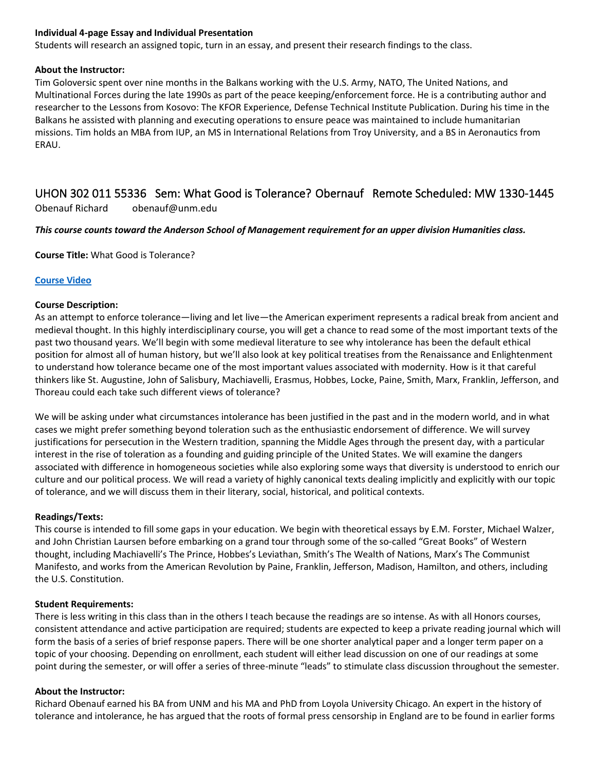#### **Individual 4-page Essay and Individual Presentation**

Students will research an assigned topic, turn in an essay, and present their research findings to the class.

#### **About the Instructor:**

Tim Goloversic spent over nine months in the Balkans working with the U.S. Army, NATO, The United Nations, and Multinational Forces during the late 1990s as part of the peace keeping/enforcement force. He is a contributing author and researcher to the Lessons from Kosovo: The KFOR Experience, Defense Technical Institute Publication. During his time in the Balkans he assisted with planning and executing operations to ensure peace was maintained to include humanitarian missions. Tim holds an MBA from IUP, an MS in International Relations from Troy University, and a BS in Aeronautics from ERAU.

# <span id="page-25-0"></span>UHON 302 011 55336 Sem: What Good is Tolerance? Obernauf Remote Scheduled: MW 1330-1445

Obenauf Richard obenauf@unm.edu

*This course counts toward the Anderson School of Management requirement for an upper division Humanities class.* 

**Course Title:** What Good is Tolerance?

#### **[Course Video](https://youtu.be/YAA0ynI-8a8)**

#### **Course Description:**

As an attempt to enforce tolerance—living and let live—the American experiment represents a radical break from ancient and medieval thought. In this highly interdisciplinary course, you will get a chance to read some of the most important texts of the past two thousand years. We'll begin with some medieval literature to see why intolerance has been the default ethical position for almost all of human history, but we'll also look at key political treatises from the Renaissance and Enlightenment to understand how tolerance became one of the most important values associated with modernity. How is it that careful thinkers like St. Augustine, John of Salisbury, Machiavelli, Erasmus, Hobbes, Locke, Paine, Smith, Marx, Franklin, Jefferson, and Thoreau could each take such different views of tolerance?

We will be asking under what circumstances intolerance has been justified in the past and in the modern world, and in what cases we might prefer something beyond toleration such as the enthusiastic endorsement of difference. We will survey justifications for persecution in the Western tradition, spanning the Middle Ages through the present day, with a particular interest in the rise of toleration as a founding and guiding principle of the United States. We will examine the dangers associated with difference in homogeneous societies while also exploring some ways that diversity is understood to enrich our culture and our political process. We will read a variety of highly canonical texts dealing implicitly and explicitly with our topic of tolerance, and we will discuss them in their literary, social, historical, and political contexts.

#### **Readings/Texts:**

This course is intended to fill some gaps in your education. We begin with theoretical essays by E.M. Forster, Michael Walzer, and John Christian Laursen before embarking on a grand tour through some of the so-called "Great Books" of Western thought, including Machiavelli's The Prince, Hobbes's Leviathan, Smith's The Wealth of Nations, Marx's The Communist Manifesto, and works from the American Revolution by Paine, Franklin, Jefferson, Madison, Hamilton, and others, including the U.S. Constitution.

#### **Student Requirements:**

There is less writing in this class than in the others I teach because the readings are so intense. As with all Honors courses, consistent attendance and active participation are required; students are expected to keep a private reading journal which will form the basis of a series of brief response papers. There will be one shorter analytical paper and a longer term paper on a topic of your choosing. Depending on enrollment, each student will either lead discussion on one of our readings at some point during the semester, or will offer a series of three-minute "leads" to stimulate class discussion throughout the semester.

#### **About the Instructor:**

Richard Obenauf earned his BA from UNM and his MA and PhD from Loyola University Chicago. An expert in the history of tolerance and intolerance, he has argued that the roots of formal press censorship in England are to be found in earlier forms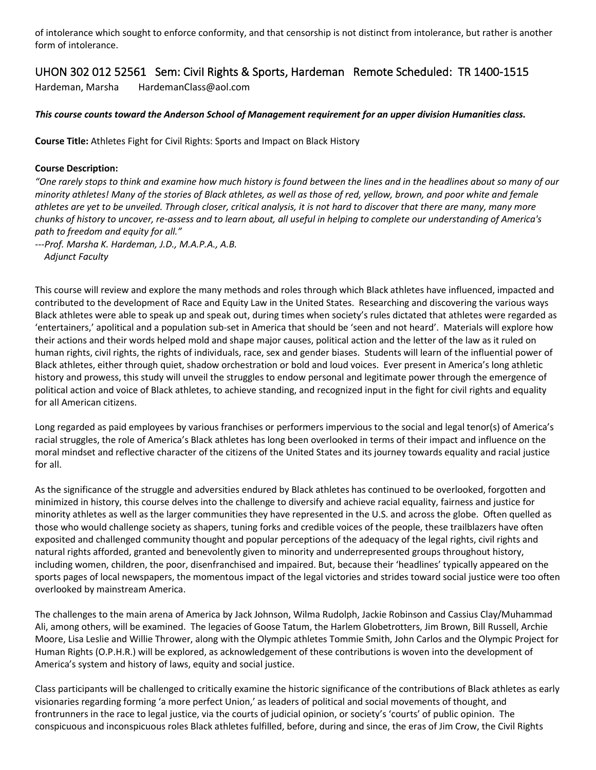of intolerance which sought to enforce conformity, and that censorship is not distinct from intolerance, but rather is another form of intolerance.

# <span id="page-26-0"></span>UHON 302 012 52561 Sem: CiviI Rights & Sports, Hardeman Remote Scheduled: TR 1400-1515

Hardeman, Marsha HardemanClass@aol.com

#### *This course counts toward the Anderson School of Management requirement for an upper division Humanities class.*

**Course Title:** Athletes Fight for Civil Rights: Sports and Impact on Black History

#### **Course Description:**

"One rarely stops to think and examine how much history is found between the lines and in the headlines about so many of our minority athletes! Many of the stories of Black athletes, as well as those of red, yellow, brown, and poor white and female athletes are yet to be unveiled. Through closer, critical analysis, it is not hard to discover that there are many, many more chunks of history to uncover, re-assess and to learn about, all useful in helping to complete our understanding of America's *path to freedom and equity for all."* 

*---Prof. Marsha K. Hardeman, J.D., M.A.P.A., A.B.*

 *Adjunct Faculty*

This course will review and explore the many methods and roles through which Black athletes have influenced, impacted and contributed to the development of Race and Equity Law in the United States. Researching and discovering the various ways Black athletes were able to speak up and speak out, during times when society's rules dictated that athletes were regarded as 'entertainers,' apolitical and a population sub-set in America that should be 'seen and not heard'. Materials will explore how their actions and their words helped mold and shape major causes, political action and the letter of the law as it ruled on human rights, civil rights, the rights of individuals, race, sex and gender biases. Students will learn of the influential power of Black athletes, either through quiet, shadow orchestration or bold and loud voices. Ever present in America's long athletic history and prowess, this study will unveil the struggles to endow personal and legitimate power through the emergence of political action and voice of Black athletes, to achieve standing, and recognized input in the fight for civil rights and equality for all American citizens.

Long regarded as paid employees by various franchises or performers impervious to the social and legal tenor(s) of America's racial struggles, the role of America's Black athletes has long been overlooked in terms of their impact and influence on the moral mindset and reflective character of the citizens of the United States and its journey towards equality and racial justice for all.

As the significance of the struggle and adversities endured by Black athletes has continued to be overlooked, forgotten and minimized in history, this course delves into the challenge to diversify and achieve racial equality, fairness and justice for minority athletes as well as the larger communities they have represented in the U.S. and across the globe. Often quelled as those who would challenge society as shapers, tuning forks and credible voices of the people, these trailblazers have often exposited and challenged community thought and popular perceptions of the adequacy of the legal rights, civil rights and natural rights afforded, granted and benevolently given to minority and underrepresented groups throughout history, including women, children, the poor, disenfranchised and impaired. But, because their 'headlines' typically appeared on the sports pages of local newspapers, the momentous impact of the legal victories and strides toward social justice were too often overlooked by mainstream America.

The challenges to the main arena of America by Jack Johnson, Wilma Rudolph, Jackie Robinson and Cassius Clay/Muhammad Ali, among others, will be examined. The legacies of Goose Tatum, the Harlem Globetrotters, Jim Brown, Bill Russell, Archie Moore, Lisa Leslie and Willie Thrower, along with the Olympic athletes Tommie Smith, John Carlos and the Olympic Project for Human Rights (O.P.H.R.) will be explored, as acknowledgement of these contributions is woven into the development of America's system and history of laws, equity and social justice.

Class participants will be challenged to critically examine the historic significance of the contributions of Black athletes as early visionaries regarding forming 'a more perfect Union,' as leaders of political and social movements of thought, and frontrunners in the race to legal justice, via the courts of judicial opinion, or society's 'courts' of public opinion. The conspicuous and inconspicuous roles Black athletes fulfilled, before, during and since, the eras of Jim Crow, the Civil Rights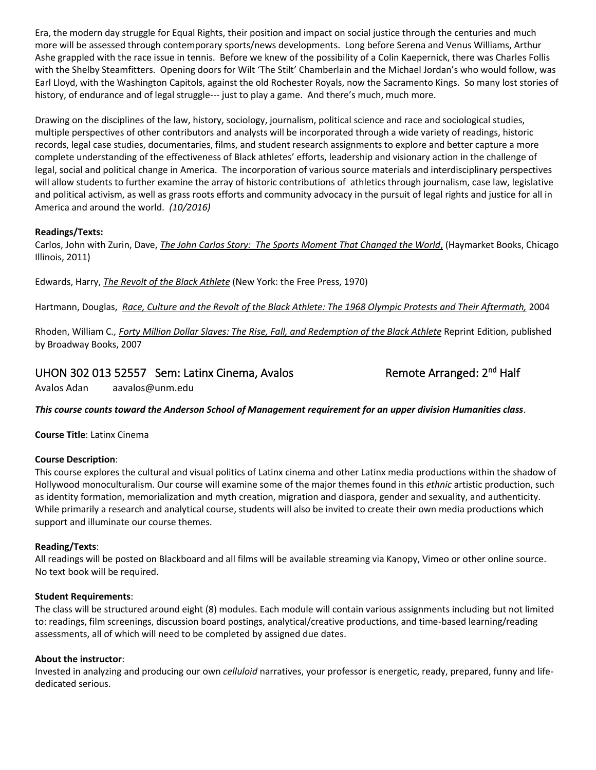Era, the modern day struggle for Equal Rights, their position and impact on social justice through the centuries and much more will be assessed through contemporary sports/news developments. Long before Serena and Venus Williams, Arthur Ashe grappled with the race issue in tennis. Before we knew of the possibility of a Colin Kaepernick, there was Charles Follis with the Shelby Steamfitters. Opening doors for Wilt 'The Stilt' Chamberlain and the Michael Jordan's who would follow, was Earl Lloyd, with the Washington Capitols, against the old Rochester Royals, now the Sacramento Kings. So many lost stories of history, of endurance and of legal struggle--- just to play a game. And there's much, much more.

Drawing on the disciplines of the law, history, sociology, journalism, political science and race and sociological studies, multiple perspectives of other contributors and analysts will be incorporated through a wide variety of readings, historic records, legal case studies, documentaries, films, and student research assignments to explore and better capture a more complete understanding of the effectiveness of Black athletes' efforts, leadership and visionary action in the challenge of legal, social and political change in America. The incorporation of various source materials and interdisciplinary perspectives will allow students to further examine the array of historic contributions of athletics through journalism, case law, legislative and political activism, as well as grass roots efforts and community advocacy in the pursuit of legal rights and justice for all in America and around the world. *(10/2016)*

#### **Readings/Texts:**

Carlos, John with Zurin, Dave, *The John Carlos Story: The Sports Moment That Changed the World*, (Haymarket Books, Chicago Illinois, 2011)

Edwards, Harry, *The Revolt of the Black Athlete* (New York: the Free Press, 1970)

Hartmann, Douglas, *Race, Culture and the Revolt of the Black Athlete: The 1968 Olympic Protests and Their Aftermath,* 2004

Rhoden, William C*., Forty Million Dollar Slaves: The Rise, Fall, and Redemption of the Black Athlete* Reprint Edition, published by Broadway Books, 2007

# <span id="page-27-0"></span>UHON 302 013 52557 Sem: Latinx Cinema, Avalos

<sup>nd</sup> Half

Avalos Adan aavalos@unm.edu

*This course counts toward the Anderson School of Management requirement for an upper division Humanities class*.

**Course Title**: Latinx Cinema

#### **Course Description**:

This course explores the cultural and visual politics of Latinx cinema and other Latinx media productions within the shadow of Hollywood monoculturalism. Our course will examine some of the major themes found in this *ethnic* artistic production, such as identity formation, memorialization and myth creation, migration and diaspora, gender and sexuality, and authenticity. While primarily a research and analytical course, students will also be invited to create their own media productions which support and illuminate our course themes.

#### **Reading/Texts**:

All readings will be posted on Blackboard and all films will be available streaming via Kanopy, Vimeo or other online source. No text book will be required.

#### **Student Requirements**:

The class will be structured around eight (8) modules. Each module will contain various assignments including but not limited to: readings, film screenings, discussion board postings, analytical/creative productions, and time-based learning/reading assessments, all of which will need to be completed by assigned due dates.

#### **About the instructor**:

Invested in analyzing and producing our own *celluloid* narratives, your professor is energetic, ready, prepared, funny and lifededicated serious.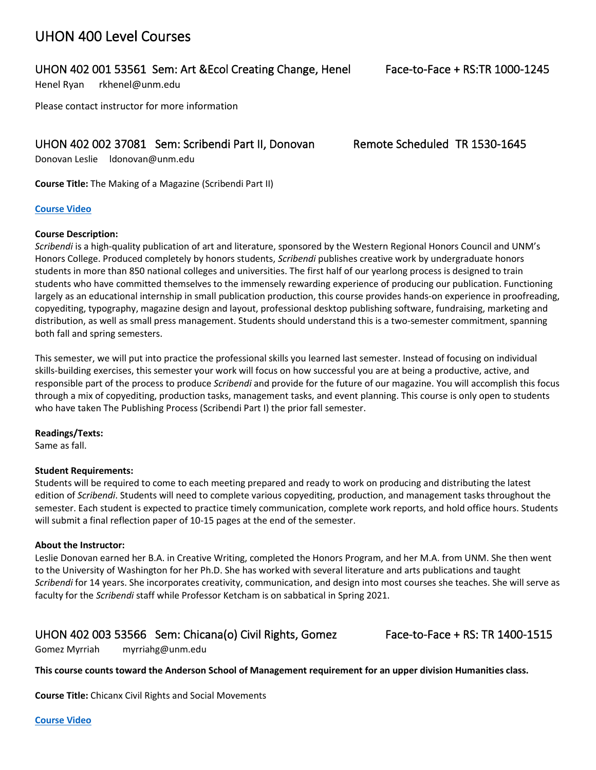# <span id="page-28-0"></span>UHON 400 Level Courses

# <span id="page-28-1"></span>UHON 402 001 53561 Sem: Art & Ecol Creating Change, Henel Face-to-Face + RS:TR 1000-1245

Henel Ryan rkhenel@unm.edu

Please contact instructor for more information

# <span id="page-28-2"></span>UHON 402 002 37081 Sem: Scribendi Part II, Donovan Remote Scheduled TR 1530-1645

Donovan Leslie ldonovan@unm.edu

**Course Title:** The Making of a Magazine (Scribendi Part II)

#### **[Course Video](https://youtu.be/V6oCsk9WzGM)**

#### **Course Description:**

*Scribendi* is a high-quality publication of art and literature, sponsored by the Western Regional Honors Council and UNM's Honors College. Produced completely by honors students, *Scribendi* publishes creative work by undergraduate honors students in more than 850 national colleges and universities. The first half of our yearlong process is designed to train students who have committed themselves to the immensely rewarding experience of producing our publication. Functioning largely as an educational internship in small publication production, this course provides hands-on experience in proofreading, copyediting, typography, magazine design and layout, professional desktop publishing software, fundraising, marketing and distribution, as well as small press management. Students should understand this is a two-semester commitment, spanning both fall and spring semesters.

This semester, we will put into practice the professional skills you learned last semester. Instead of focusing on individual skills-building exercises, this semester your work will focus on how successful you are at being a productive, active, and responsible part of the process to produce *Scribendi* and provide for the future of our magazine. You will accomplish this focus through a mix of copyediting, production tasks, management tasks, and event planning. This course is only open to students who have taken The Publishing Process (Scribendi Part I) the prior fall semester.

**Readings/Texts:** 

Same as fall.

#### **Student Requirements:**

Students will be required to come to each meeting prepared and ready to work on producing and distributing the latest edition of *Scribendi*. Students will need to complete various copyediting, production, and management tasks throughout the semester. Each student is expected to practice timely communication, complete work reports, and hold office hours. Students will submit a final reflection paper of 10-15 pages at the end of the semester.

#### **About the Instructor:**

Leslie Donovan earned her B.A. in Creative Writing, completed the Honors Program, and her M.A. from UNM. She then went to the University of Washington for her Ph.D. She has worked with several literature and arts publications and taught *Scribendi* for 14 years. She incorporates creativity, communication, and design into most courses she teaches. She will serve as faculty for the *Scribendi* staff while Professor Ketcham is on sabbatical in Spring 2021.

# <span id="page-28-3"></span>UHON 402 003 53566 Sem: Chicana(o) Civil Rights, Gomez Face-to-Face + RS: TR 1400-1515

Gomez Myrriah myrriahg@unm.edu

**This course counts toward the Anderson School of Management requirement for an upper division Humanities class.**

**Course Title:** Chicanx Civil Rights and Social Movements

**[Course Video](https://youtu.be/Zf3FsVDXFjU)**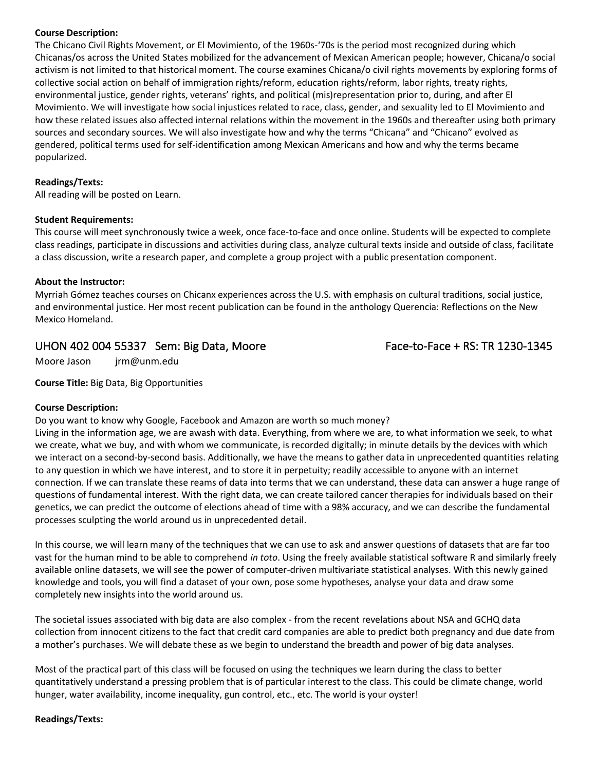#### **Course Description:**

The Chicano Civil Rights Movement, or El Movimiento, of the 1960s-'70s is the period most recognized during which Chicanas/os across the United States mobilized for the advancement of Mexican American people; however, Chicana/o social activism is not limited to that historical moment. The course examines Chicana/o civil rights movements by exploring forms of collective social action on behalf of immigration rights/reform, education rights/reform, labor rights, treaty rights, environmental justice, gender rights, veterans' rights, and political (mis)representation prior to, during, and after El Movimiento. We will investigate how social injustices related to race, class, gender, and sexuality led to El Movimiento and how these related issues also affected internal relations within the movement in the 1960s and thereafter using both primary sources and secondary sources. We will also investigate how and why the terms "Chicana" and "Chicano" evolved as gendered, political terms used for self-identification among Mexican Americans and how and why the terms became popularized.

#### **Readings/Texts:**

All reading will be posted on Learn.

#### **Student Requirements:**

This course will meet synchronously twice a week, once face-to-face and once online. Students will be expected to complete class readings, participate in discussions and activities during class, analyze cultural texts inside and outside of class, facilitate a class discussion, write a research paper, and complete a group project with a public presentation component.

#### **About the Instructor:**

Myrriah Gómez teaches courses on Chicanx experiences across the U.S. with emphasis on cultural traditions, social justice, and environmental justice. Her most recent publication can be found in the anthology Querencia: Reflections on the New Mexico Homeland.

# <span id="page-29-0"></span>UHON 402 004 55337 Sem: Big Data, Moore Face-to-Face + RS: TR 1230-1345

Moore Jason jrm@unm.edu

**Course Title:** Big Data, Big Opportunities

#### **Course Description:**

Do you want to know why Google, Facebook and Amazon are worth so much money?

Living in the information age, we are awash with data. Everything, from where we are, to what information we seek, to what we create, what we buy, and with whom we communicate, is recorded digitally; in minute details by the devices with which we interact on a second-by-second basis. Additionally, we have the means to gather data in unprecedented quantities relating to any question in which we have interest, and to store it in perpetuity; readily accessible to anyone with an internet connection. If we can translate these reams of data into terms that we can understand, these data can answer a huge range of questions of fundamental interest. With the right data, we can create tailored cancer therapies for individuals based on their genetics, we can predict the outcome of elections ahead of time with a 98% accuracy, and we can describe the fundamental processes sculpting the world around us in unprecedented detail.

In this course, we will learn many of the techniques that we can use to ask and answer questions of datasets that are far too vast for the human mind to be able to comprehend *in toto*. Using the freely available statistical software R and similarly freely available online datasets, we will see the power of computer-driven multivariate statistical analyses. With this newly gained knowledge and tools, you will find a dataset of your own, pose some hypotheses, analyse your data and draw some completely new insights into the world around us.

The societal issues associated with big data are also complex - from the recent revelations about NSA and GCHQ data collection from innocent citizens to the fact that credit card companies are able to predict both pregnancy and due date from a mother's purchases. We will debate these as we begin to understand the breadth and power of big data analyses.

Most of the practical part of this class will be focused on using the techniques we learn during the class to better quantitatively understand a pressing problem that is of particular interest to the class. This could be climate change, world hunger, water availability, income inequality, gun control, etc., etc. The world is your oyster!

#### **Readings/Texts:**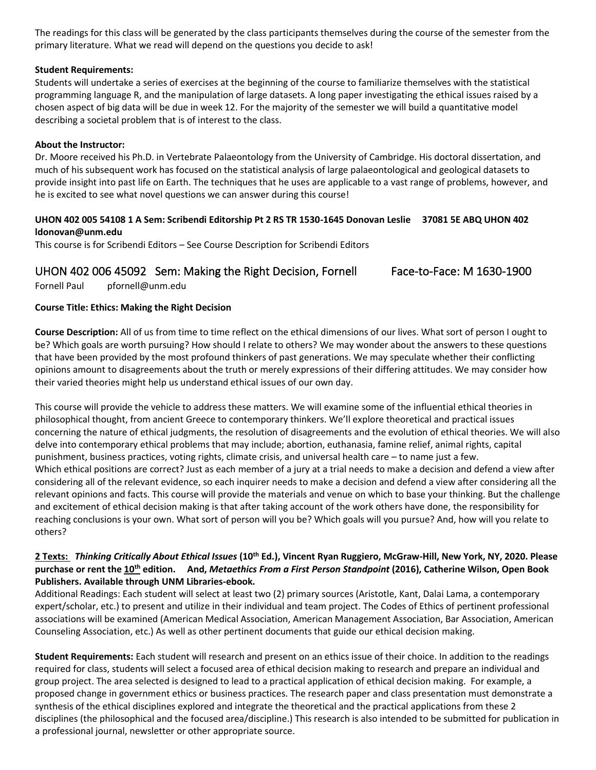The readings for this class will be generated by the class participants themselves during the course of the semester from the primary literature. What we read will depend on the questions you decide to ask!

#### **Student Requirements:**

Students will undertake a series of exercises at the beginning of the course to familiarize themselves with the statistical programming language R, and the manipulation of large datasets. A long paper investigating the ethical issues raised by a chosen aspect of big data will be due in week 12. For the majority of the semester we will build a quantitative model describing a societal problem that is of interest to the class.

#### **About the Instructor:**

Dr. Moore received his Ph.D. in Vertebrate Palaeontology from the University of Cambridge. His doctoral dissertation, and much of his subsequent work has focused on the statistical analysis of large palaeontological and geological datasets to provide insight into past life on Earth. The techniques that he uses are applicable to a vast range of problems, however, and he is excited to see what novel questions we can answer during this course!

#### **UHON 402 005 54108 1 A Sem: Scribendi Editorship Pt 2 RS TR 1530-1645 Donovan Leslie 37081 5E ABQ UHON 402 ldonovan@unm.edu**

This course is for Scribendi Editors – See Course Description for Scribendi Editors

# <span id="page-30-0"></span>UHON 402 006 45092 Sem: Making the Right Decision, Fornell Face-to-Face: M 1630-1900

Fornell Paul pfornell@unm.edu

#### **Course Title: Ethics: Making the Right Decision**

**Course Description:** All of us from time to time reflect on the ethical dimensions of our lives. What sort of person I ought to be? Which goals are worth pursuing? How should I relate to others? We may wonder about the answers to these questions that have been provided by the most profound thinkers of past generations. We may speculate whether their conflicting opinions amount to disagreements about the truth or merely expressions of their differing attitudes. We may consider how their varied theories might help us understand ethical issues of our own day.

This course will provide the vehicle to address these matters. We will examine some of the influential ethical theories in philosophical thought, from ancient Greece to contemporary thinkers. We'll explore theoretical and practical issues concerning the nature of ethical judgments, the resolution of disagreements and the evolution of ethical theories. We will also delve into contemporary ethical problems that may include; abortion, euthanasia, famine relief, animal rights, capital punishment, business practices, voting rights, climate crisis, and universal health care – to name just a few. Which ethical positions are correct? Just as each member of a jury at a trial needs to make a decision and defend a view after considering all of the relevant evidence, so each inquirer needs to make a decision and defend a view after considering all the relevant opinions and facts. This course will provide the materials and venue on which to base your thinking. But the challenge and excitement of ethical decision making is that after taking account of the work others have done, the responsibility for reaching conclusions is your own. What sort of person will you be? Which goals will you pursue? And, how will you relate to others?

#### **2 Texts:** *Thinking Critically About Ethical Issues* **(10th Ed.), Vincent Ryan Ruggiero, McGraw-Hill, New York, NY, 2020. Please purchase or rent the 10th edition. And,** *Metaethics From a First Person Standpoint* **(2016), Catherine Wilson, Open Book Publishers. Available through UNM Libraries-ebook.**

Additional Readings: Each student will select at least two (2) primary sources (Aristotle, Kant, Dalai Lama, a contemporary expert/scholar, etc.) to present and utilize in their individual and team project. The Codes of Ethics of pertinent professional associations will be examined (American Medical Association, American Management Association, Bar Association, American Counseling Association, etc.) As well as other pertinent documents that guide our ethical decision making.

**Student Requirements:** Each student will research and present on an ethics issue of their choice. In addition to the readings required for class, students will select a focused area of ethical decision making to research and prepare an individual and group project. The area selected is designed to lead to a practical application of ethical decision making. For example, a proposed change in government ethics or business practices. The research paper and class presentation must demonstrate a synthesis of the ethical disciplines explored and integrate the theoretical and the practical applications from these 2 disciplines (the philosophical and the focused area/discipline.) This research is also intended to be submitted for publication in a professional journal, newsletter or other appropriate source.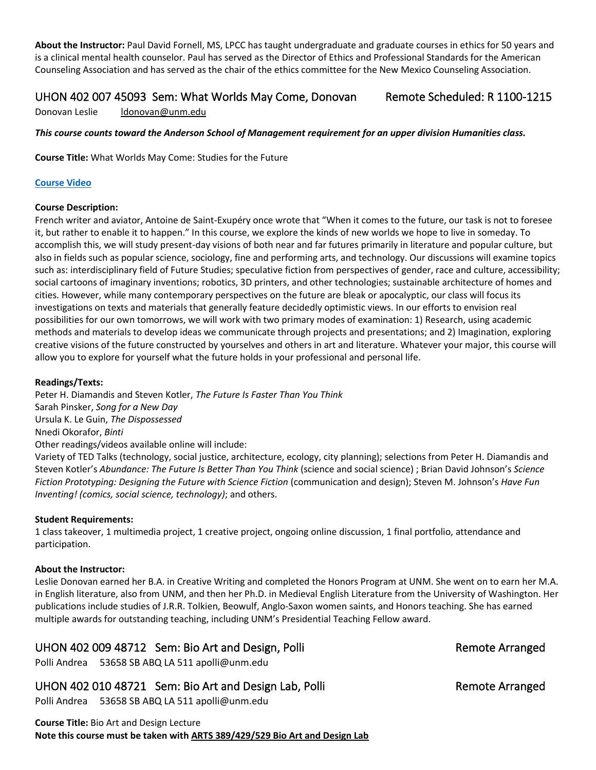**About the Instructor:** Paul David Fornell, MS, LPCC has taught undergraduate and graduate courses in ethics for 50 years and is a clinical mental health counselor. Paul has served as the Director of Ethics and Professional Standards for the American Counseling Association and has served as the chair of the ethics committee for the New Mexico Counseling Association.

# <span id="page-31-0"></span>UHON 402 007 45093 Sem: What Worlds May Come, Donovan Remote Scheduled: R 1100-1215

Donovan Leslie [ldonovan@unm.edu](mailto:ldonovan@unm.edu)

*This course counts toward the Anderson School of Management requirement for an upper division Humanities class.*

**Course Title:** What Worlds May Come: Studies for the Future

#### **[Course Video](https://youtu.be/KAVS8tID6aY)**

#### **Course Description:**

French writer and aviator, Antoine de Saint-Exupéry once wrote that "When it comes to the future, our task is not to foresee it, but rather to enable it to happen." In this course, we explore the kinds of new worlds we hope to live in someday. To accomplish this, we will study present-day visions of both near and far futures primarily in literature and popular culture, but also in fields such as popular science, sociology, fine and performing arts, and technology. Our discussions will examine topics such as: interdisciplinary field of Future Studies; speculative fiction from perspectives of gender, race and culture, accessibility; social cartoons of imaginary inventions; robotics, 3D printers, and other technologies; sustainable architecture of homes and cities. However, while many contemporary perspectives on the future are bleak or apocalyptic, our class will focus its investigations on texts and materials that generally feature decidedly optimistic views. In our efforts to envision real possibilities for our own tomorrows, we will work with two primary modes of examination: 1) Research, using academic methods and materials to develop ideas we communicate through projects and presentations; and 2) Imagination, exploring creative visions of the future constructed by yourselves and others in art and literature. Whatever your major, this course will allow you to explore for yourself what the future holds in your professional and personal life.

#### **Readings/Texts:**

Peter H. Diamandis and Steven Kotler, *The Future Is Faster Than You Think* Sarah Pinsker, *Song for a New Day* Ursula K. Le Guin, *The Dispossessed* Nnedi Okorafor, *Binti* Other readings/videos available online will include:

Variety of TED Talks (technology, social justice, architecture, ecology, city planning); selections from Peter H. Diamandis and Steven Kotler's *Abundance: The Future Is Better Than You Think* (science and social science) ; Brian David Johnson's *Science Fiction Prototyping: Designing the Future with Science Fiction* (communication and design); Steven M. Johnson's *Have Fun Inventing! (comics, social science, technology)*; and others.

#### **Student Requirements:**

1 class takeover, 1 multimedia project, 1 creative project, ongoing online discussion, 1 final portfolio, attendance and participation.

#### **About the Instructor:**

Leslie Donovan earned her B.A. in Creative Writing and completed the Honors Program at UNM. She went on to earn her M.A. in English literature, also from UNM, and then her Ph.D. in Medieval English Literature from the University of Washington. Her publications include studies of J.R.R. Tolkien, Beowulf, Anglo-Saxon women saints, and Honors teaching. She has earned multiple awards for outstanding teaching, including UNM's Presidential Teaching Fellow award.

# <span id="page-31-1"></span>UHON 402 009 48712 Sem: Bio Art and Design, Polli Remote Arranged Remote Arranged

Polli Andrea 53658 SB ABQ LA 511 apolli@unm.edu

# <span id="page-31-2"></span>UHON 402 010 48721 Sem: Bio Art and Design Lab, Polli Remote Arranged Remote Arranged

Polli Andrea 53658 SB ABQ LA 511 apolli@unm.edu

**Course Title:** Bio Art and Design Lecture **Note this course must be taken wit[h ARTS 389/429/529 Bio Art and Design Lab](https://docs.google.com/document/d/1QOMOX8hh9FCyrIZTl6qKxFsffE-uccKY602WbR1dKKU/edit?usp=sharing)**